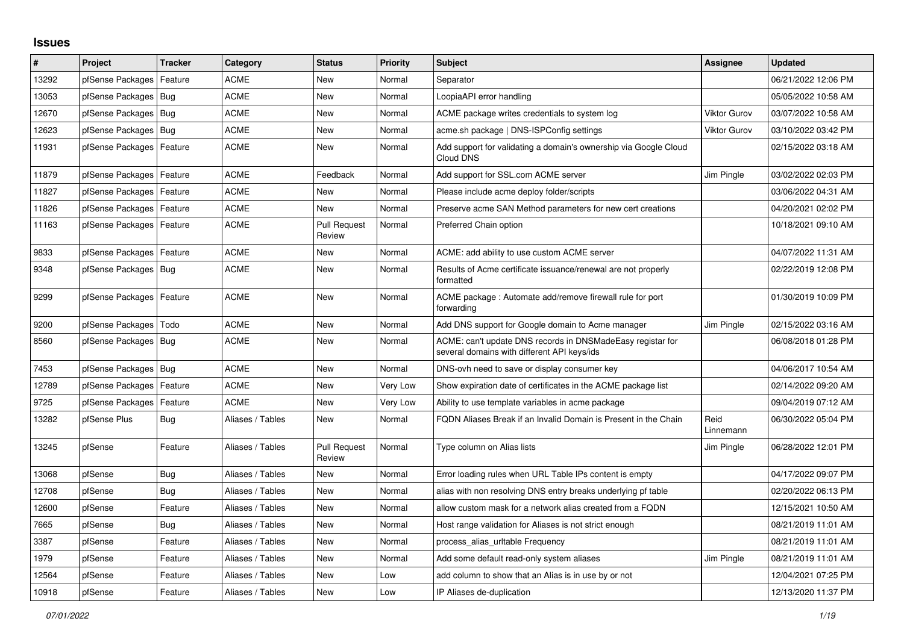## **Issues**

| #     | Project                    | <b>Tracker</b> | Category         | <b>Status</b>                 | <b>Priority</b> | <b>Subject</b>                                                                                            | Assignee            | <b>Updated</b>      |
|-------|----------------------------|----------------|------------------|-------------------------------|-----------------|-----------------------------------------------------------------------------------------------------------|---------------------|---------------------|
| 13292 | pfSense Packages           | Feature        | <b>ACME</b>      | <b>New</b>                    | Normal          | Separator                                                                                                 |                     | 06/21/2022 12:06 PM |
| 13053 | pfSense Packages   Bug     |                | <b>ACME</b>      | New                           | Normal          | LoopiaAPI error handling                                                                                  |                     | 05/05/2022 10:58 AM |
| 12670 | pfSense Packages   Bug     |                | <b>ACME</b>      | New                           | Normal          | ACME package writes credentials to system log                                                             | <b>Viktor Gurov</b> | 03/07/2022 10:58 AM |
| 12623 | pfSense Packages           | Bug            | <b>ACME</b>      | <b>New</b>                    | Normal          | acme.sh package   DNS-ISPConfig settings                                                                  | <b>Viktor Gurov</b> | 03/10/2022 03:42 PM |
| 11931 | pfSense Packages   Feature |                | <b>ACME</b>      | New                           | Normal          | Add support for validating a domain's ownership via Google Cloud<br>Cloud DNS                             |                     | 02/15/2022 03:18 AM |
| 11879 | pfSense Packages           | Feature        | <b>ACME</b>      | Feedback                      | Normal          | Add support for SSL.com ACME server                                                                       | Jim Pingle          | 03/02/2022 02:03 PM |
| 11827 | pfSense Packages   Feature |                | <b>ACME</b>      | <b>New</b>                    | Normal          | Please include acme deploy folder/scripts                                                                 |                     | 03/06/2022 04:31 AM |
| 11826 | pfSense Packages           | Feature        | <b>ACME</b>      | <b>New</b>                    | Normal          | Preserve acme SAN Method parameters for new cert creations                                                |                     | 04/20/2021 02:02 PM |
| 11163 | pfSense Packages           | Feature        | ACME             | <b>Pull Request</b><br>Review | Normal          | Preferred Chain option                                                                                    |                     | 10/18/2021 09:10 AM |
| 9833  | pfSense Packages           | Feature        | <b>ACME</b>      | New                           | Normal          | ACME: add ability to use custom ACME server                                                               |                     | 04/07/2022 11:31 AM |
| 9348  | pfSense Packages           | <b>Bug</b>     | <b>ACME</b>      | New                           | Normal          | Results of Acme certificate issuance/renewal are not properly<br>formatted                                |                     | 02/22/2019 12:08 PM |
| 9299  | pfSense Packages   Feature |                | <b>ACME</b>      | <b>New</b>                    | Normal          | ACME package : Automate add/remove firewall rule for port<br>forwarding                                   |                     | 01/30/2019 10:09 PM |
| 9200  | pfSense Packages           | Todo           | <b>ACME</b>      | <b>New</b>                    | Normal          | Add DNS support for Google domain to Acme manager                                                         | Jim Pingle          | 02/15/2022 03:16 AM |
| 8560  | pfSense Packages   Bug     |                | <b>ACME</b>      | New                           | Normal          | ACME: can't update DNS records in DNSMadeEasy registar for<br>several domains with different API keys/ids |                     | 06/08/2018 01:28 PM |
| 7453  | pfSense Packages   Bug     |                | <b>ACME</b>      | <b>New</b>                    | Normal          | DNS-ovh need to save or display consumer key                                                              |                     | 04/06/2017 10:54 AM |
| 12789 | pfSense Packages           | Feature        | <b>ACME</b>      | New                           | Very Low        | Show expiration date of certificates in the ACME package list                                             |                     | 02/14/2022 09:20 AM |
| 9725  | pfSense Packages           | Feature        | <b>ACME</b>      | New                           | Very Low        | Ability to use template variables in acme package                                                         |                     | 09/04/2019 07:12 AM |
| 13282 | pfSense Plus               | Bug            | Aliases / Tables | New                           | Normal          | FQDN Aliases Break if an Invalid Domain is Present in the Chain                                           | Reid<br>Linnemann   | 06/30/2022 05:04 PM |
| 13245 | pfSense                    | Feature        | Aliases / Tables | <b>Pull Request</b><br>Review | Normal          | Type column on Alias lists                                                                                | Jim Pingle          | 06/28/2022 12:01 PM |
| 13068 | pfSense                    | <b>Bug</b>     | Aliases / Tables | <b>New</b>                    | Normal          | Error loading rules when URL Table IPs content is empty                                                   |                     | 04/17/2022 09:07 PM |
| 12708 | pfSense                    | Bug            | Aliases / Tables | New                           | Normal          | alias with non resolving DNS entry breaks underlying pf table                                             |                     | 02/20/2022 06:13 PM |
| 12600 | pfSense                    | Feature        | Aliases / Tables | New                           | Normal          | allow custom mask for a network alias created from a FQDN                                                 |                     | 12/15/2021 10:50 AM |
| 7665  | pfSense                    | <b>Bug</b>     | Aliases / Tables | <b>New</b>                    | Normal          | Host range validation for Aliases is not strict enough                                                    |                     | 08/21/2019 11:01 AM |
| 3387  | pfSense                    | Feature        | Aliases / Tables | <b>New</b>                    | Normal          | process alias uritable Frequency                                                                          |                     | 08/21/2019 11:01 AM |
| 1979  | pfSense                    | Feature        | Aliases / Tables | New                           | Normal          | Add some default read-only system aliases                                                                 | Jim Pingle          | 08/21/2019 11:01 AM |
| 12564 | pfSense                    | Feature        | Aliases / Tables | <b>New</b>                    | Low             | add column to show that an Alias is in use by or not                                                      |                     | 12/04/2021 07:25 PM |
| 10918 | pfSense                    | Feature        | Aliases / Tables | <b>New</b>                    | Low             | IP Aliases de-duplication                                                                                 |                     | 12/13/2020 11:37 PM |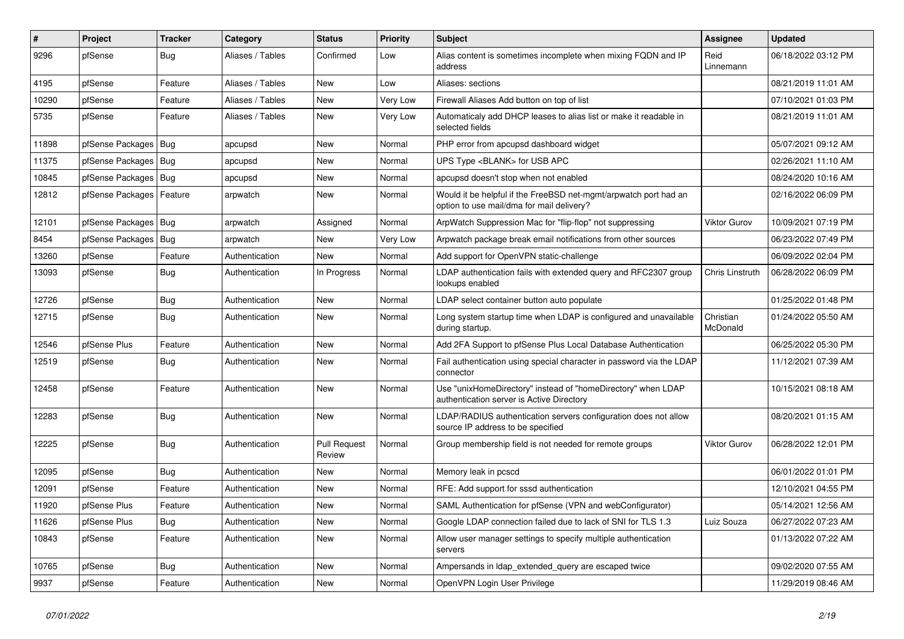| #     | Project          | <b>Tracker</b> | Category         | <b>Status</b>                 | <b>Priority</b> | <b>Subject</b>                                                                                                | Assignee              | <b>Updated</b>      |
|-------|------------------|----------------|------------------|-------------------------------|-----------------|---------------------------------------------------------------------------------------------------------------|-----------------------|---------------------|
| 9296  | pfSense          | Bug            | Aliases / Tables | Confirmed                     | Low             | Alias content is sometimes incomplete when mixing FQDN and IP<br>address                                      | Reid<br>Linnemann     | 06/18/2022 03:12 PM |
| 4195  | pfSense          | Feature        | Aliases / Tables | <b>New</b>                    | Low             | Aliases: sections                                                                                             |                       | 08/21/2019 11:01 AM |
| 10290 | pfSense          | Feature        | Aliases / Tables | <b>New</b>                    | Very Low        | Firewall Aliases Add button on top of list                                                                    |                       | 07/10/2021 01:03 PM |
| 5735  | pfSense          | Feature        | Aliases / Tables | <b>New</b>                    | Very Low        | Automaticaly add DHCP leases to alias list or make it readable in<br>selected fields                          |                       | 08/21/2019 11:01 AM |
| 11898 | pfSense Packages | <b>Bug</b>     | apcupsd          | <b>New</b>                    | Normal          | PHP error from apcupsd dashboard widget                                                                       |                       | 05/07/2021 09:12 AM |
| 11375 | pfSense Packages | Bug            | apcupsd          | <b>New</b>                    | Normal          | UPS Type <blank> for USB APC</blank>                                                                          |                       | 02/26/2021 11:10 AM |
| 10845 | pfSense Packages | <b>Bug</b>     | apcupsd          | <b>New</b>                    | Normal          | apcupsd doesn't stop when not enabled                                                                         |                       | 08/24/2020 10:16 AM |
| 12812 | pfSense Packages | Feature        | arpwatch         | <b>New</b>                    | Normal          | Would it be helpful if the FreeBSD net-mgmt/arpwatch port had an<br>option to use mail/dma for mail delivery? |                       | 02/16/2022 06:09 PM |
| 12101 | pfSense Packages | <b>Bug</b>     | arpwatch         | Assigned                      | Normal          | ArpWatch Suppression Mac for "flip-flop" not suppressing                                                      | <b>Viktor Gurov</b>   | 10/09/2021 07:19 PM |
| 8454  | pfSense Packages | Bug            | arpwatch         | New                           | Very Low        | Arpwatch package break email notifications from other sources                                                 |                       | 06/23/2022 07:49 PM |
| 13260 | pfSense          | Feature        | Authentication   | New                           | Normal          | Add support for OpenVPN static-challenge                                                                      |                       | 06/09/2022 02:04 PM |
| 13093 | pfSense          | <b>Bug</b>     | Authentication   | In Progress                   | Normal          | LDAP authentication fails with extended query and RFC2307 group<br>lookups enabled                            | Chris Linstruth       | 06/28/2022 06:09 PM |
| 12726 | pfSense          | Bug            | Authentication   | <b>New</b>                    | Normal          | LDAP select container button auto populate                                                                    |                       | 01/25/2022 01:48 PM |
| 12715 | pfSense          | <b>Bug</b>     | Authentication   | <b>New</b>                    | Normal          | Long system startup time when LDAP is configured and unavailable<br>during startup.                           | Christian<br>McDonald | 01/24/2022 05:50 AM |
| 12546 | pfSense Plus     | Feature        | Authentication   | New                           | Normal          | Add 2FA Support to pfSense Plus Local Database Authentication                                                 |                       | 06/25/2022 05:30 PM |
| 12519 | pfSense          | Bug            | Authentication   | New                           | Normal          | Fail authentication using special character in password via the LDAP<br>connector                             |                       | 11/12/2021 07:39 AM |
| 12458 | pfSense          | Feature        | Authentication   | New                           | Normal          | Use "unixHomeDirectory" instead of "homeDirectory" when LDAP<br>authentication server is Active Directory     |                       | 10/15/2021 08:18 AM |
| 12283 | pfSense          | <b>Bug</b>     | Authentication   | New                           | Normal          | LDAP/RADIUS authentication servers configuration does not allow<br>source IP address to be specified          |                       | 08/20/2021 01:15 AM |
| 12225 | pfSense          | <b>Bug</b>     | Authentication   | <b>Pull Request</b><br>Review | Normal          | Group membership field is not needed for remote groups                                                        | Viktor Gurov          | 06/28/2022 12:01 PM |
| 12095 | pfSense          | <b>Bug</b>     | Authentication   | <b>New</b>                    | Normal          | Memory leak in pcscd                                                                                          |                       | 06/01/2022 01:01 PM |
| 12091 | pfSense          | Feature        | Authentication   | <b>New</b>                    | Normal          | RFE: Add support for sssd authentication                                                                      |                       | 12/10/2021 04:55 PM |
| 11920 | pfSense Plus     | Feature        | Authentication   | <b>New</b>                    | Normal          | SAML Authentication for pfSense (VPN and webConfigurator)                                                     |                       | 05/14/2021 12:56 AM |
| 11626 | pfSense Plus     | <b>Bug</b>     | Authentication   | <b>New</b>                    | Normal          | Google LDAP connection failed due to lack of SNI for TLS 1.3                                                  | Luiz Souza            | 06/27/2022 07:23 AM |
| 10843 | pfSense          | Feature        | Authentication   | <b>New</b>                    | Normal          | Allow user manager settings to specify multiple authentication<br>servers                                     |                       | 01/13/2022 07:22 AM |
| 10765 | pfSense          | Bug            | Authentication   | <b>New</b>                    | Normal          | Ampersands in Idap extended query are escaped twice                                                           |                       | 09/02/2020 07:55 AM |
| 9937  | pfSense          | Feature        | Authentication   | <b>New</b>                    | Normal          | OpenVPN Login User Privilege                                                                                  |                       | 11/29/2019 08:46 AM |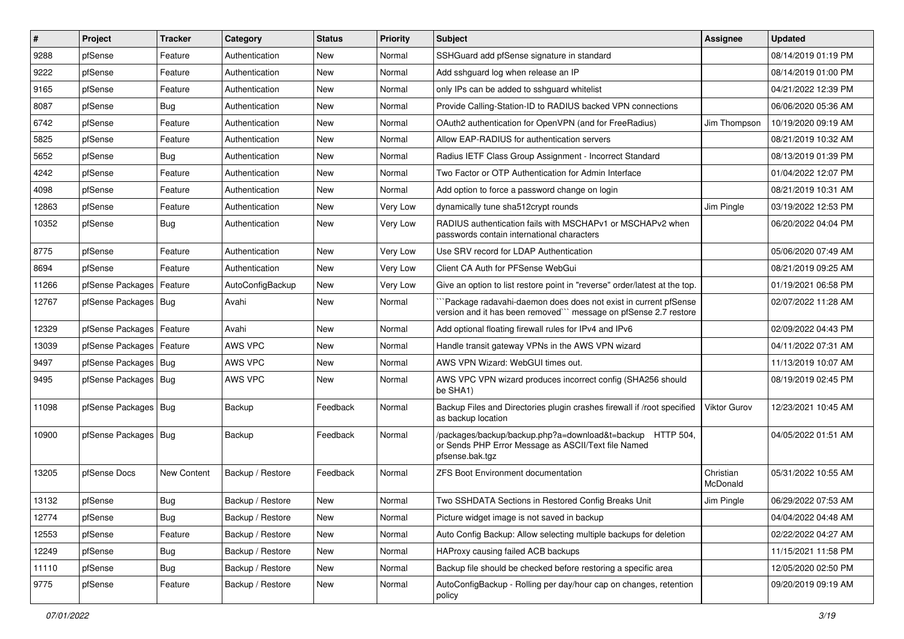| #     | Project                | <b>Tracker</b> | Category         | <b>Status</b> | <b>Priority</b> | Subject                                                                                                                             | Assignee              | <b>Updated</b>      |
|-------|------------------------|----------------|------------------|---------------|-----------------|-------------------------------------------------------------------------------------------------------------------------------------|-----------------------|---------------------|
| 9288  | pfSense                | Feature        | Authentication   | New           | Normal          | SSHGuard add pfSense signature in standard                                                                                          |                       | 08/14/2019 01:19 PM |
| 9222  | pfSense                | Feature        | Authentication   | New           | Normal          | Add sshguard log when release an IP                                                                                                 |                       | 08/14/2019 01:00 PM |
| 9165  | pfSense                | Feature        | Authentication   | New           | Normal          | only IPs can be added to sshguard whitelist                                                                                         |                       | 04/21/2022 12:39 PM |
| 8087  | pfSense                | <b>Bug</b>     | Authentication   | <b>New</b>    | Normal          | Provide Calling-Station-ID to RADIUS backed VPN connections                                                                         |                       | 06/06/2020 05:36 AM |
| 6742  | pfSense                | Feature        | Authentication   | New           | Normal          | OAuth2 authentication for OpenVPN (and for FreeRadius)                                                                              | Jim Thompson          | 10/19/2020 09:19 AM |
| 5825  | pfSense                | Feature        | Authentication   | New           | Normal          | Allow EAP-RADIUS for authentication servers                                                                                         |                       | 08/21/2019 10:32 AM |
| 5652  | pfSense                | <b>Bug</b>     | Authentication   | <b>New</b>    | Normal          | Radius IETF Class Group Assignment - Incorrect Standard                                                                             |                       | 08/13/2019 01:39 PM |
| 4242  | pfSense                | Feature        | Authentication   | New           | Normal          | Two Factor or OTP Authentication for Admin Interface                                                                                |                       | 01/04/2022 12:07 PM |
| 4098  | pfSense                | Feature        | Authentication   | New           | Normal          | Add option to force a password change on login                                                                                      |                       | 08/21/2019 10:31 AM |
| 12863 | pfSense                | Feature        | Authentication   | <b>New</b>    | Very Low        | dynamically tune sha512crypt rounds                                                                                                 | Jim Pingle            | 03/19/2022 12:53 PM |
| 10352 | pfSense                | <b>Bug</b>     | Authentication   | New           | Very Low        | RADIUS authentication fails with MSCHAPv1 or MSCHAPv2 when<br>passwords contain international characters                            |                       | 06/20/2022 04:04 PM |
| 8775  | pfSense                | Feature        | Authentication   | <b>New</b>    | Very Low        | Use SRV record for LDAP Authentication                                                                                              |                       | 05/06/2020 07:49 AM |
| 8694  | pfSense                | Feature        | Authentication   | <b>New</b>    | Very Low        | Client CA Auth for PFSense WebGui                                                                                                   |                       | 08/21/2019 09:25 AM |
| 11266 | pfSense Packages       | Feature        | AutoConfigBackup | New           | Very Low        | Give an option to list restore point in "reverse" order/latest at the top.                                                          |                       | 01/19/2021 06:58 PM |
| 12767 | pfSense Packages   Bug |                | Avahi            | New           | Normal          | Package radavahi-daemon does does not exist in current pfSense<br>version and it has been removed" message on pfSense 2.7 restore   |                       | 02/07/2022 11:28 AM |
| 12329 | pfSense Packages       | Feature        | Avahi            | <b>New</b>    | Normal          | Add optional floating firewall rules for IPv4 and IPv6                                                                              |                       | 02/09/2022 04:43 PM |
| 13039 | pfSense Packages       | Feature        | AWS VPC          | New           | Normal          | Handle transit gateway VPNs in the AWS VPN wizard                                                                                   |                       | 04/11/2022 07:31 AM |
| 9497  | pfSense Packages   Bug |                | AWS VPC          | <b>New</b>    | Normal          | AWS VPN Wizard: WebGUI times out.                                                                                                   |                       | 11/13/2019 10:07 AM |
| 9495  | pfSense Packages   Bug |                | AWS VPC          | <b>New</b>    | Normal          | AWS VPC VPN wizard produces incorrect config (SHA256 should<br>be SHA1)                                                             |                       | 08/19/2019 02:45 PM |
| 11098 | pfSense Packages   Bug |                | Backup           | Feedback      | Normal          | Backup Files and Directories plugin crashes firewall if /root specified<br>as backup location                                       | Viktor Gurov          | 12/23/2021 10:45 AM |
| 10900 | pfSense Packages   Bug |                | Backup           | Feedback      | Normal          | /packages/backup/backup.php?a=download&t=backup HTTP 504,<br>or Sends PHP Error Message as ASCII/Text file Named<br>pfsense.bak.tgz |                       | 04/05/2022 01:51 AM |
| 13205 | pfSense Docs           | New Content    | Backup / Restore | Feedback      | Normal          | <b>ZFS Boot Environment documentation</b>                                                                                           | Christian<br>McDonald | 05/31/2022 10:55 AM |
| 13132 | pfSense                | <b>Bug</b>     | Backup / Restore | New           | Normal          | Two SSHDATA Sections in Restored Config Breaks Unit                                                                                 | Jim Pingle            | 06/29/2022 07:53 AM |
| 12774 | pfSense                | <b>Bug</b>     | Backup / Restore | New           | Normal          | Picture widget image is not saved in backup                                                                                         |                       | 04/04/2022 04:48 AM |
| 12553 | pfSense                | Feature        | Backup / Restore | New           | Normal          | Auto Config Backup: Allow selecting multiple backups for deletion                                                                   |                       | 02/22/2022 04:27 AM |
| 12249 | pfSense                | <b>Bug</b>     | Backup / Restore | New           | Normal          | HAProxy causing failed ACB backups                                                                                                  |                       | 11/15/2021 11:58 PM |
| 11110 | pfSense                | <b>Bug</b>     | Backup / Restore | New           | Normal          | Backup file should be checked before restoring a specific area                                                                      |                       | 12/05/2020 02:50 PM |
| 9775  | pfSense                | Feature        | Backup / Restore | New           | Normal          | AutoConfigBackup - Rolling per day/hour cap on changes, retention<br>policy                                                         |                       | 09/20/2019 09:19 AM |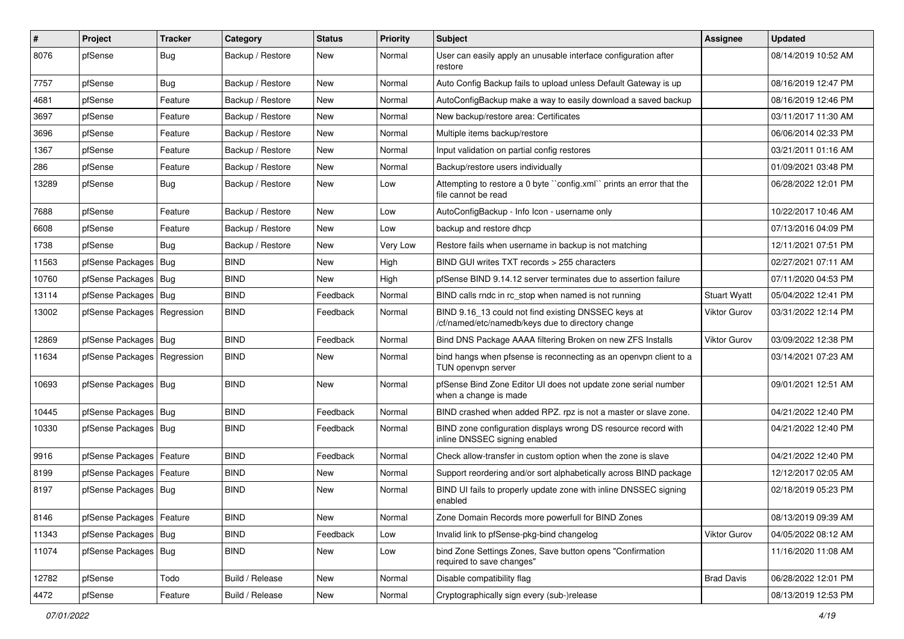| $\vert$ # | Project                       | <b>Tracker</b> | Category         | <b>Status</b> | <b>Priority</b> | Subject                                                                                                  | Assignee            | <b>Updated</b>      |
|-----------|-------------------------------|----------------|------------------|---------------|-----------------|----------------------------------------------------------------------------------------------------------|---------------------|---------------------|
| 8076      | pfSense                       | <b>Bug</b>     | Backup / Restore | New           | Normal          | User can easily apply an unusable interface configuration after<br>restore                               |                     | 08/14/2019 10:52 AM |
| 7757      | pfSense                       | <b>Bug</b>     | Backup / Restore | New           | Normal          | Auto Config Backup fails to upload unless Default Gateway is up                                          |                     | 08/16/2019 12:47 PM |
| 4681      | pfSense                       | Feature        | Backup / Restore | <b>New</b>    | Normal          | AutoConfigBackup make a way to easily download a saved backup                                            |                     | 08/16/2019 12:46 PM |
| 3697      | pfSense                       | Feature        | Backup / Restore | New           | Normal          | New backup/restore area: Certificates                                                                    |                     | 03/11/2017 11:30 AM |
| 3696      | pfSense                       | Feature        | Backup / Restore | New           | Normal          | Multiple items backup/restore                                                                            |                     | 06/06/2014 02:33 PM |
| 1367      | pfSense                       | Feature        | Backup / Restore | New           | Normal          | Input validation on partial config restores                                                              |                     | 03/21/2011 01:16 AM |
| 286       | pfSense                       | Feature        | Backup / Restore | New           | Normal          | Backup/restore users individually                                                                        |                     | 01/09/2021 03:48 PM |
| 13289     | pfSense                       | <b>Bug</b>     | Backup / Restore | New           | Low             | Attempting to restore a 0 byte "config.xml" prints an error that the<br>file cannot be read              |                     | 06/28/2022 12:01 PM |
| 7688      | pfSense                       | Feature        | Backup / Restore | New           | Low             | AutoConfigBackup - Info Icon - username only                                                             |                     | 10/22/2017 10:46 AM |
| 6608      | pfSense                       | Feature        | Backup / Restore | New           | Low             | backup and restore dhcp                                                                                  |                     | 07/13/2016 04:09 PM |
| 1738      | pfSense                       | <b>Bug</b>     | Backup / Restore | New           | Very Low        | Restore fails when username in backup is not matching                                                    |                     | 12/11/2021 07:51 PM |
| 11563     | pfSense Packages              | Bug            | BIND             | New           | High            | BIND GUI writes TXT records > 255 characters                                                             |                     | 02/27/2021 07:11 AM |
| 10760     | pfSense Packages   Bug        |                | <b>BIND</b>      | New           | High            | pfSense BIND 9.14.12 server terminates due to assertion failure                                          |                     | 07/11/2020 04:53 PM |
| 13114     | pfSense Packages   Bug        |                | <b>BIND</b>      | Feedback      | Normal          | BIND calls rndc in rc_stop when named is not running                                                     | <b>Stuart Wyatt</b> | 05/04/2022 12:41 PM |
| 13002     | pfSense Packages              | Regression     | <b>BIND</b>      | Feedback      | Normal          | BIND 9.16_13 could not find existing DNSSEC keys at<br>/cf/named/etc/namedb/keys due to directory change | Viktor Gurov        | 03/31/2022 12:14 PM |
| 12869     | pfSense Packages   Bug        |                | <b>BIND</b>      | Feedback      | Normal          | Bind DNS Package AAAA filtering Broken on new ZFS Installs                                               | <b>Viktor Gurov</b> | 03/09/2022 12:38 PM |
| 11634     | pfSense Packages   Regression |                | <b>BIND</b>      | New           | Normal          | bind hangs when pfsense is reconnecting as an openypn client to a<br>TUN openvpn server                  |                     | 03/14/2021 07:23 AM |
| 10693     | pfSense Packages   Bug        |                | <b>BIND</b>      | New           | Normal          | pfSense Bind Zone Editor UI does not update zone serial number<br>when a change is made                  |                     | 09/01/2021 12:51 AM |
| 10445     | pfSense Packages   Bug        |                | <b>BIND</b>      | Feedback      | Normal          | BIND crashed when added RPZ. rpz is not a master or slave zone.                                          |                     | 04/21/2022 12:40 PM |
| 10330     | pfSense Packages   Bug        |                | <b>BIND</b>      | Feedback      | Normal          | BIND zone configuration displays wrong DS resource record with<br>inline DNSSEC signing enabled          |                     | 04/21/2022 12:40 PM |
| 9916      | pfSense Packages              | Feature        | <b>BIND</b>      | Feedback      | Normal          | Check allow-transfer in custom option when the zone is slave                                             |                     | 04/21/2022 12:40 PM |
| 8199      | pfSense Packages   Feature    |                | <b>BIND</b>      | New           | Normal          | Support reordering and/or sort alphabetically across BIND package                                        |                     | 12/12/2017 02:05 AM |
| 8197      | pfSense Packages   Bug        |                | <b>BIND</b>      | New           | Normal          | BIND UI fails to properly update zone with inline DNSSEC signing<br>enabled                              |                     | 02/18/2019 05:23 PM |
| 8146      | pfSense Packages   Feature    |                | <b>BIND</b>      | New           | Normal          | Zone Domain Records more powerfull for BIND Zones                                                        |                     | 08/13/2019 09:39 AM |
| 11343     | pfSense Packages   Bug        |                | <b>BIND</b>      | Feedback      | Low             | Invalid link to pfSense-pkg-bind changelog                                                               | Viktor Gurov        | 04/05/2022 08:12 AM |
| 11074     | pfSense Packages   Bug        |                | <b>BIND</b>      | New           | Low             | bind Zone Settings Zones, Save button opens "Confirmation<br>required to save changes"                   |                     | 11/16/2020 11:08 AM |
| 12782     | pfSense                       | Todo           | Build / Release  | New           | Normal          | Disable compatibility flag                                                                               | <b>Brad Davis</b>   | 06/28/2022 12:01 PM |
| 4472      | pfSense                       | Feature        | Build / Release  | New           | Normal          | Cryptographically sign every (sub-)release                                                               |                     | 08/13/2019 12:53 PM |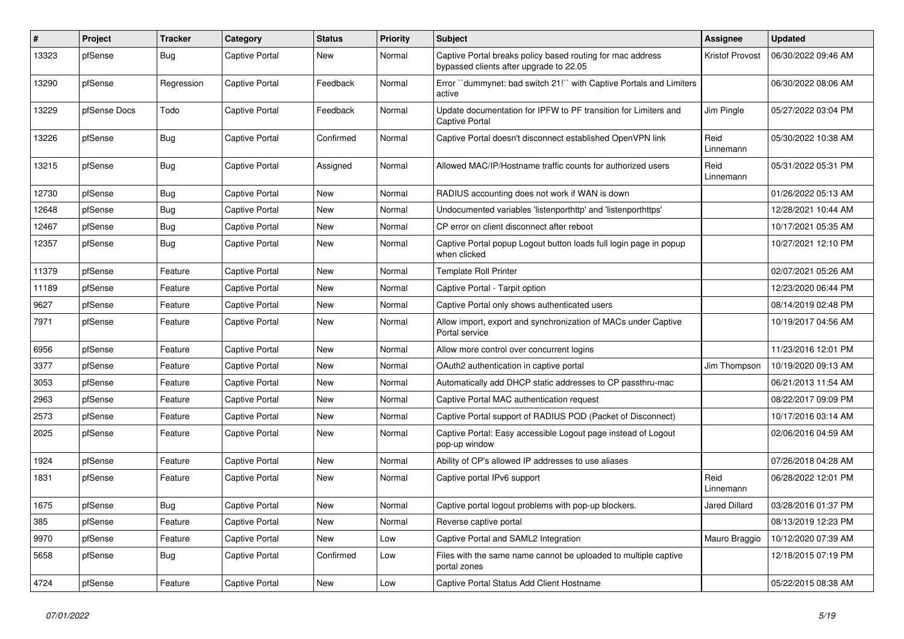| #     | Project      | <b>Tracker</b> | Category              | <b>Status</b> | <b>Priority</b> | <b>Subject</b>                                                                                        | <b>Assignee</b>      | <b>Updated</b>      |
|-------|--------------|----------------|-----------------------|---------------|-----------------|-------------------------------------------------------------------------------------------------------|----------------------|---------------------|
| 13323 | pfSense      | Bug            | Captive Portal        | <b>New</b>    | Normal          | Captive Portal breaks policy based routing for mac address<br>bypassed clients after upgrade to 22.05 | Kristof Provost      | 06/30/2022 09:46 AM |
| 13290 | pfSense      | Regression     | Captive Portal        | Feedback      | Normal          | Error "dummynet: bad switch 21!" with Captive Portals and Limiters<br>active                          |                      | 06/30/2022 08:06 AM |
| 13229 | pfSense Docs | Todo           | Captive Portal        | Feedback      | Normal          | Update documentation for IPFW to PF transition for Limiters and<br><b>Captive Portal</b>              | Jim Pingle           | 05/27/2022 03:04 PM |
| 13226 | pfSense      | <b>Bug</b>     | Captive Portal        | Confirmed     | Normal          | Captive Portal doesn't disconnect established OpenVPN link                                            | Reid<br>Linnemann    | 05/30/2022 10:38 AM |
| 13215 | pfSense      | <b>Bug</b>     | Captive Portal        | Assigned      | Normal          | Allowed MAC/IP/Hostname traffic counts for authorized users                                           | Reid<br>Linnemann    | 05/31/2022 05:31 PM |
| 12730 | pfSense      | <b>Bug</b>     | Captive Portal        | <b>New</b>    | Normal          | RADIUS accounting does not work if WAN is down                                                        |                      | 01/26/2022 05:13 AM |
| 12648 | pfSense      | Bug            | Captive Portal        | <b>New</b>    | Normal          | Undocumented variables 'listenporthttp' and 'listenporthttps'                                         |                      | 12/28/2021 10:44 AM |
| 12467 | pfSense      | Bug            | Captive Portal        | <b>New</b>    | Normal          | CP error on client disconnect after reboot                                                            |                      | 10/17/2021 05:35 AM |
| 12357 | pfSense      | Bug            | Captive Portal        | <b>New</b>    | Normal          | Captive Portal popup Logout button loads full login page in popup<br>when clicked                     |                      | 10/27/2021 12:10 PM |
| 11379 | pfSense      | Feature        | Captive Portal        | <b>New</b>    | Normal          | <b>Template Roll Printer</b>                                                                          |                      | 02/07/2021 05:26 AM |
| 11189 | pfSense      | Feature        | Captive Portal        | <b>New</b>    | Normal          | Captive Portal - Tarpit option                                                                        |                      | 12/23/2020 06:44 PM |
| 9627  | pfSense      | Feature        | Captive Portal        | <b>New</b>    | Normal          | Captive Portal only shows authenticated users                                                         |                      | 08/14/2019 02:48 PM |
| 7971  | pfSense      | Feature        | Captive Portal        | New           | Normal          | Allow import, export and synchronization of MACs under Captive<br>Portal service                      |                      | 10/19/2017 04:56 AM |
| 6956  | pfSense      | Feature        | Captive Portal        | <b>New</b>    | Normal          | Allow more control over concurrent logins                                                             |                      | 11/23/2016 12:01 PM |
| 3377  | pfSense      | Feature        | Captive Portal        | <b>New</b>    | Normal          | OAuth2 authentication in captive portal                                                               | Jim Thompson         | 10/19/2020 09:13 AM |
| 3053  | pfSense      | Feature        | Captive Portal        | <b>New</b>    | Normal          | Automatically add DHCP static addresses to CP passthru-mac                                            |                      | 06/21/2013 11:54 AM |
| 2963  | pfSense      | Feature        | Captive Portal        | <b>New</b>    | Normal          | Captive Portal MAC authentication request                                                             |                      | 08/22/2017 09:09 PM |
| 2573  | pfSense      | Feature        | Captive Portal        | <b>New</b>    | Normal          | Captive Portal support of RADIUS POD (Packet of Disconnect)                                           |                      | 10/17/2016 03:14 AM |
| 2025  | pfSense      | Feature        | Captive Portal        | <b>New</b>    | Normal          | Captive Portal: Easy accessible Logout page instead of Logout<br>pop-up window                        |                      | 02/06/2016 04:59 AM |
| 1924  | pfSense      | Feature        | Captive Portal        | New           | Normal          | Ability of CP's allowed IP addresses to use aliases                                                   |                      | 07/26/2018 04:28 AM |
| 1831  | pfSense      | Feature        | Captive Portal        | New           | Normal          | Captive portal IPv6 support                                                                           | Reid<br>Linnemann    | 06/28/2022 12:01 PM |
| 1675  | pfSense      | Bug            | Captive Portal        | New           | Normal          | Captive portal logout problems with pop-up blockers.                                                  | <b>Jared Dillard</b> | 03/28/2016 01:37 PM |
| 385   | pfSense      | Feature        | Captive Portal        | New           | Normal          | Reverse captive portal                                                                                |                      | 08/13/2019 12:23 PM |
| 9970  | pfSense      | Feature        | <b>Captive Portal</b> | <b>New</b>    | Low             | Captive Portal and SAML2 Integration                                                                  | Mauro Braggio        | 10/12/2020 07:39 AM |
| 5658  | pfSense      | Bug            | Captive Portal        | Confirmed     | Low             | Files with the same name cannot be uploaded to multiple captive<br>portal zones                       |                      | 12/18/2015 07:19 PM |
| 4724  | pfSense      | Feature        | <b>Captive Portal</b> | <b>New</b>    | Low             | Captive Portal Status Add Client Hostname                                                             |                      | 05/22/2015 08:38 AM |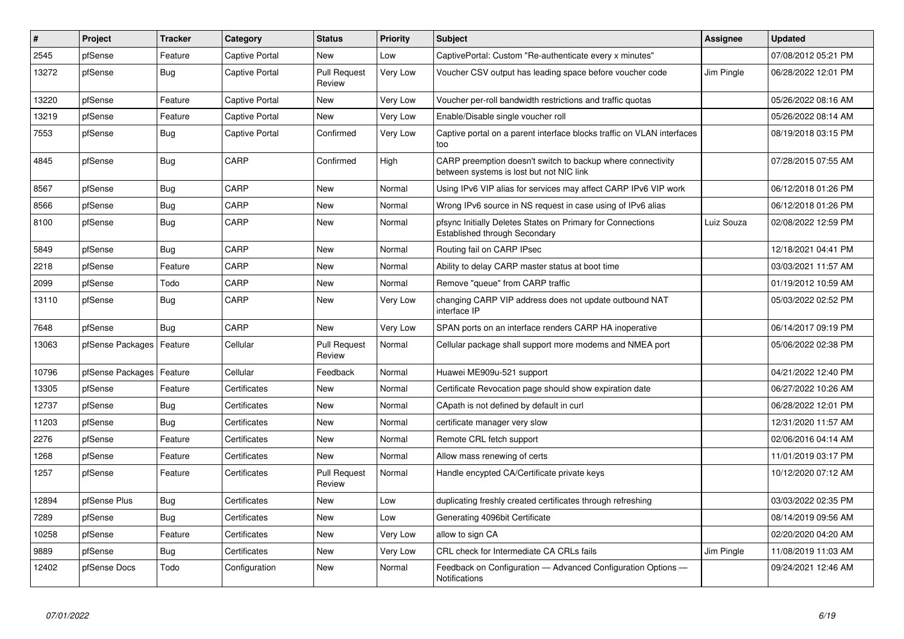| #     | Project          | <b>Tracker</b> | Category              | <b>Status</b>                 | <b>Priority</b> | <b>Subject</b>                                                                                          | <b>Assignee</b> | <b>Updated</b>       |
|-------|------------------|----------------|-----------------------|-------------------------------|-----------------|---------------------------------------------------------------------------------------------------------|-----------------|----------------------|
| 2545  | pfSense          | Feature        | Captive Portal        | <b>New</b>                    | Low             | CaptivePortal: Custom "Re-authenticate every x minutes"                                                 |                 | 07/08/2012 05:21 PM  |
| 13272 | pfSense          | <b>Bug</b>     | Captive Portal        | <b>Pull Request</b><br>Review | Very Low        | Voucher CSV output has leading space before voucher code                                                | Jim Pingle      | 06/28/2022 12:01 PM  |
| 13220 | pfSense          | Feature        | <b>Captive Portal</b> | <b>New</b>                    | Very Low        | Voucher per-roll bandwidth restrictions and traffic quotas                                              |                 | 05/26/2022 08:16 AM  |
| 13219 | pfSense          | Feature        | <b>Captive Portal</b> | <b>New</b>                    | Very Low        | Enable/Disable single voucher roll                                                                      |                 | 05/26/2022 08:14 AM  |
| 7553  | pfSense          | Bug            | Captive Portal        | Confirmed                     | Very Low        | Captive portal on a parent interface blocks traffic on VLAN interfaces<br>too                           |                 | 08/19/2018 03:15 PM  |
| 4845  | pfSense          | <b>Bug</b>     | CARP                  | Confirmed                     | High            | CARP preemption doesn't switch to backup where connectivity<br>between systems is lost but not NIC link |                 | 07/28/2015 07:55 AM  |
| 8567  | pfSense          | Bug            | CARP                  | <b>New</b>                    | Normal          | Using IPv6 VIP alias for services may affect CARP IPv6 VIP work                                         |                 | 06/12/2018 01:26 PM  |
| 8566  | pfSense          | <b>Bug</b>     | CARP                  | <b>New</b>                    | Normal          | Wrong IPv6 source in NS request in case using of IPv6 alias                                             |                 | 06/12/2018 01:26 PM  |
| 8100  | pfSense          | Bug            | CARP                  | <b>New</b>                    | Normal          | pfsync Initially Deletes States on Primary for Connections<br>Established through Secondary             | Luiz Souza      | 02/08/2022 12:59 PM  |
| 5849  | pfSense          | Bug            | CARP                  | New                           | Normal          | Routing fail on CARP IPsec                                                                              |                 | 12/18/2021 04:41 PM  |
| 2218  | pfSense          | Feature        | CARP                  | <b>New</b>                    | Normal          | Ability to delay CARP master status at boot time                                                        |                 | 03/03/2021 11:57 AM  |
| 2099  | pfSense          | Todo           | CARP                  | New                           | Normal          | Remove "queue" from CARP traffic                                                                        |                 | 01/19/2012 10:59 AM  |
| 13110 | pfSense          | Bug            | CARP                  | New                           | Very Low        | changing CARP VIP address does not update outbound NAT<br>interface IP                                  |                 | 05/03/2022 02:52 PM  |
| 7648  | pfSense          | Bug            | CARP                  | New                           | Very Low        | SPAN ports on an interface renders CARP HA inoperative                                                  |                 | 06/14/2017 09:19 PM  |
| 13063 | pfSense Packages | Feature        | Cellular              | <b>Pull Request</b><br>Review | Normal          | Cellular package shall support more modems and NMEA port                                                |                 | 05/06/2022 02:38 PM  |
| 10796 | pfSense Packages | Feature        | Cellular              | Feedback                      | Normal          | Huawei ME909u-521 support                                                                               |                 | 04/21/2022 12:40 PM  |
| 13305 | pfSense          | Feature        | Certificates          | <b>New</b>                    | Normal          | Certificate Revocation page should show expiration date                                                 |                 | 06/27/2022 10:26 AM  |
| 12737 | pfSense          | <b>Bug</b>     | Certificates          | <b>New</b>                    | Normal          | CApath is not defined by default in curl                                                                |                 | 06/28/2022 12:01 PM  |
| 11203 | pfSense          | Bug            | Certificates          | <b>New</b>                    | Normal          | certificate manager very slow                                                                           |                 | 12/31/2020 11:57 AM  |
| 2276  | pfSense          | Feature        | Certificates          | <b>New</b>                    | Normal          | Remote CRL fetch support                                                                                |                 | 02/06/2016  04:14 AM |
| 1268  | pfSense          | Feature        | Certificates          | <b>New</b>                    | Normal          | Allow mass renewing of certs                                                                            |                 | 11/01/2019 03:17 PM  |
| 1257  | pfSense          | Feature        | Certificates          | <b>Pull Request</b><br>Review | Normal          | Handle encypted CA/Certificate private keys                                                             |                 | 10/12/2020 07:12 AM  |
| 12894 | pfSense Plus     | Bug            | Certificates          | <b>New</b>                    | Low             | duplicating freshly created certificates through refreshing                                             |                 | 03/03/2022 02:35 PM  |
| 7289  | pfSense          | <b>Bug</b>     | Certificates          | <b>New</b>                    | Low             | Generating 4096bit Certificate                                                                          |                 | 08/14/2019 09:56 AM  |
| 10258 | pfSense          | Feature        | Certificates          | <b>New</b>                    | Very Low        | allow to sign CA                                                                                        |                 | 02/20/2020 04:20 AM  |
| 9889  | pfSense          | Bug            | Certificates          | New                           | <b>Very Low</b> | CRL check for Intermediate CA CRLs fails                                                                | Jim Pingle      | 11/08/2019 11:03 AM  |
| 12402 | pfSense Docs     | Todo           | Configuration         | <b>New</b>                    | Normal          | Feedback on Configuration - Advanced Configuration Options -<br>Notifications                           |                 | 09/24/2021 12:46 AM  |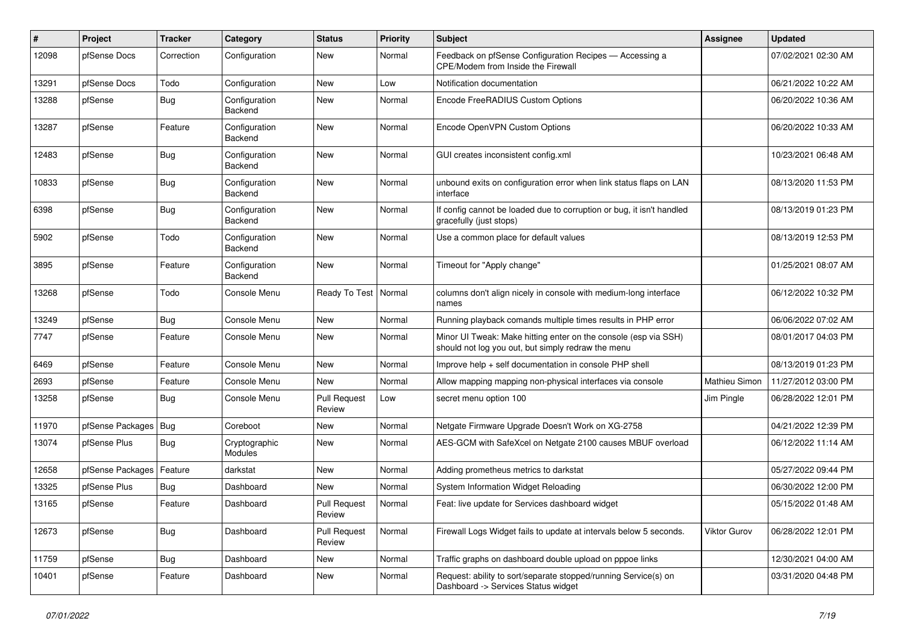| #     | Project          | <b>Tracker</b> | Category                        | <b>Status</b>                 | <b>Priority</b> | <b>Subject</b>                                                                                                        | Assignee      | <b>Updated</b>      |
|-------|------------------|----------------|---------------------------------|-------------------------------|-----------------|-----------------------------------------------------------------------------------------------------------------------|---------------|---------------------|
| 12098 | pfSense Docs     | Correction     | Configuration                   | New                           | Normal          | Feedback on pfSense Configuration Recipes - Accessing a<br>CPE/Modem from Inside the Firewall                         |               | 07/02/2021 02:30 AM |
| 13291 | pfSense Docs     | Todo           | Configuration                   | New                           | Low             | Notification documentation                                                                                            |               | 06/21/2022 10:22 AM |
| 13288 | pfSense          | Bug            | Configuration<br>Backend        | New                           | Normal          | Encode FreeRADIUS Custom Options                                                                                      |               | 06/20/2022 10:36 AM |
| 13287 | pfSense          | Feature        | Configuration<br>Backend        | New                           | Normal          | Encode OpenVPN Custom Options                                                                                         |               | 06/20/2022 10:33 AM |
| 12483 | pfSense          | <b>Bug</b>     | Configuration<br><b>Backend</b> | New                           | Normal          | GUI creates inconsistent config.xml                                                                                   |               | 10/23/2021 06:48 AM |
| 10833 | pfSense          | <b>Bug</b>     | Configuration<br><b>Backend</b> | New                           | Normal          | unbound exits on configuration error when link status flaps on LAN<br>interface                                       |               | 08/13/2020 11:53 PM |
| 6398  | pfSense          | <b>Bug</b>     | Configuration<br>Backend        | New                           | Normal          | If config cannot be loaded due to corruption or bug, it isn't handled<br>gracefully (just stops)                      |               | 08/13/2019 01:23 PM |
| 5902  | pfSense          | Todo           | Configuration<br>Backend        | New                           | Normal          | Use a common place for default values                                                                                 |               | 08/13/2019 12:53 PM |
| 3895  | pfSense          | Feature        | Configuration<br>Backend        | <b>New</b>                    | Normal          | Timeout for "Apply change"                                                                                            |               | 01/25/2021 08:07 AM |
| 13268 | pfSense          | Todo           | Console Menu                    | Ready To Test                 | Normal          | columns don't align nicely in console with medium-long interface<br>names                                             |               | 06/12/2022 10:32 PM |
| 13249 | pfSense          | <b>Bug</b>     | Console Menu                    | <b>New</b>                    | Normal          | Running playback comands multiple times results in PHP error                                                          |               | 06/06/2022 07:02 AM |
| 7747  | pfSense          | Feature        | Console Menu                    | New                           | Normal          | Minor UI Tweak: Make hitting enter on the console (esp via SSH)<br>should not log you out, but simply redraw the menu |               | 08/01/2017 04:03 PM |
| 6469  | pfSense          | Feature        | Console Menu                    | <b>New</b>                    | Normal          | Improve help + self documentation in console PHP shell                                                                |               | 08/13/2019 01:23 PM |
| 2693  | pfSense          | Feature        | Console Menu                    | <b>New</b>                    | Normal          | Allow mapping mapping non-physical interfaces via console                                                             | Mathieu Simon | 11/27/2012 03:00 PM |
| 13258 | pfSense          | Bug            | Console Menu                    | <b>Pull Request</b><br>Review | Low             | secret menu option 100                                                                                                | Jim Pingle    | 06/28/2022 12:01 PM |
| 11970 | pfSense Packages | Bug            | Coreboot                        | <b>New</b>                    | Normal          | Netgate Firmware Upgrade Doesn't Work on XG-2758                                                                      |               | 04/21/2022 12:39 PM |
| 13074 | pfSense Plus     | <b>Bug</b>     | Cryptographic<br>Modules        | New                           | Normal          | AES-GCM with SafeXcel on Netgate 2100 causes MBUF overload                                                            |               | 06/12/2022 11:14 AM |
| 12658 | pfSense Packages | Feature        | darkstat                        | <b>New</b>                    | Normal          | Adding prometheus metrics to darkstat                                                                                 |               | 05/27/2022 09:44 PM |
| 13325 | pfSense Plus     | Bug            | Dashboard                       | New                           | Normal          | System Information Widget Reloading                                                                                   |               | 06/30/2022 12:00 PM |
| 13165 | pfSense          | Feature        | Dashboard                       | <b>Pull Request</b><br>Review | Normal          | Feat: live update for Services dashboard widget                                                                       |               | 05/15/2022 01:48 AM |
| 12673 | pfSense          | <b>Bug</b>     | Dashboard                       | <b>Pull Request</b><br>Review | Normal          | Firewall Logs Widget fails to update at intervals below 5 seconds.                                                    | Viktor Gurov  | 06/28/2022 12:01 PM |
| 11759 | pfSense          | <b>Bug</b>     | Dashboard                       | New                           | Normal          | Traffic graphs on dashboard double upload on pppoe links                                                              |               | 12/30/2021 04:00 AM |
| 10401 | pfSense          | Feature        | Dashboard                       | New                           | Normal          | Request: ability to sort/separate stopped/running Service(s) on<br>Dashboard -> Services Status widget                |               | 03/31/2020 04:48 PM |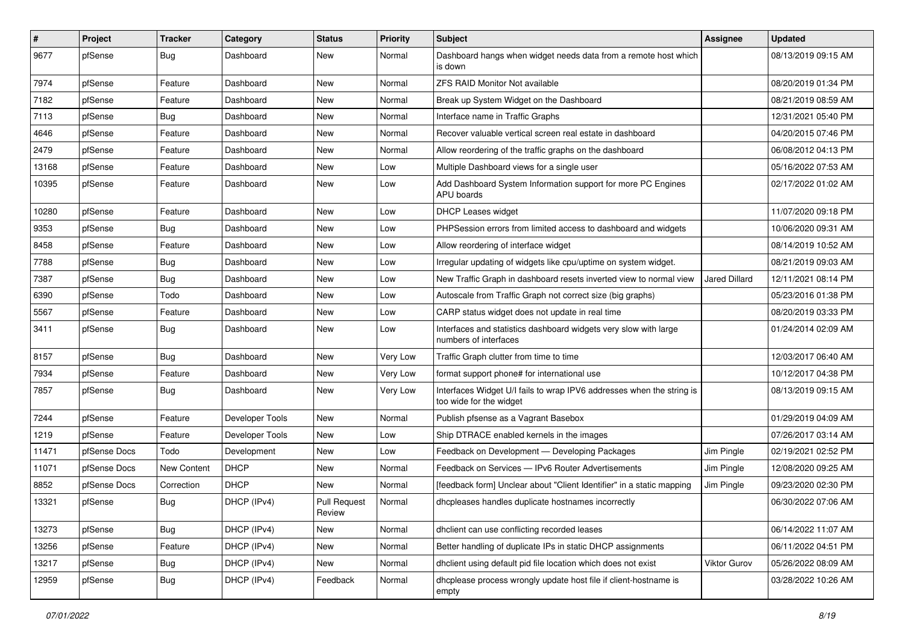| $\sharp$ | Project      | <b>Tracker</b> | Category        | <b>Status</b>                 | <b>Priority</b> | Subject                                                                                          | <b>Assignee</b> | <b>Updated</b>      |
|----------|--------------|----------------|-----------------|-------------------------------|-----------------|--------------------------------------------------------------------------------------------------|-----------------|---------------------|
| 9677     | pfSense      | <b>Bug</b>     | Dashboard       | New                           | Normal          | Dashboard hangs when widget needs data from a remote host which<br>is down                       |                 | 08/13/2019 09:15 AM |
| 7974     | pfSense      | Feature        | Dashboard       | New                           | Normal          | ZFS RAID Monitor Not available                                                                   |                 | 08/20/2019 01:34 PM |
| 7182     | pfSense      | Feature        | Dashboard       | <b>New</b>                    | Normal          | Break up System Widget on the Dashboard                                                          |                 | 08/21/2019 08:59 AM |
| 7113     | pfSense      | Bug            | Dashboard       | New                           | Normal          | Interface name in Traffic Graphs                                                                 |                 | 12/31/2021 05:40 PM |
| 4646     | pfSense      | Feature        | Dashboard       | New                           | Normal          | Recover valuable vertical screen real estate in dashboard                                        |                 | 04/20/2015 07:46 PM |
| 2479     | pfSense      | Feature        | Dashboard       | New                           | Normal          | Allow reordering of the traffic graphs on the dashboard                                          |                 | 06/08/2012 04:13 PM |
| 13168    | pfSense      | Feature        | Dashboard       | New                           | Low             | Multiple Dashboard views for a single user                                                       |                 | 05/16/2022 07:53 AM |
| 10395    | pfSense      | Feature        | Dashboard       | New                           | Low             | Add Dashboard System Information support for more PC Engines<br>APU boards                       |                 | 02/17/2022 01:02 AM |
| 10280    | pfSense      | Feature        | Dashboard       | New                           | Low             | <b>DHCP Leases widget</b>                                                                        |                 | 11/07/2020 09:18 PM |
| 9353     | pfSense      | <b>Bug</b>     | Dashboard       | <b>New</b>                    | Low             | PHPSession errors from limited access to dashboard and widgets                                   |                 | 10/06/2020 09:31 AM |
| 8458     | pfSense      | Feature        | Dashboard       | <b>New</b>                    | Low             | Allow reordering of interface widget                                                             |                 | 08/14/2019 10:52 AM |
| 7788     | pfSense      | <b>Bug</b>     | Dashboard       | New                           | Low             | Irregular updating of widgets like cpu/uptime on system widget.                                  |                 | 08/21/2019 09:03 AM |
| 7387     | pfSense      | <b>Bug</b>     | Dashboard       | New                           | Low             | New Traffic Graph in dashboard resets inverted view to normal view                               | Jared Dillard   | 12/11/2021 08:14 PM |
| 6390     | pfSense      | Todo           | Dashboard       | New                           | Low             | Autoscale from Traffic Graph not correct size (big graphs)                                       |                 | 05/23/2016 01:38 PM |
| 5567     | pfSense      | Feature        | Dashboard       | <b>New</b>                    | Low             | CARP status widget does not update in real time                                                  |                 | 08/20/2019 03:33 PM |
| 3411     | pfSense      | <b>Bug</b>     | Dashboard       | New                           | Low             | Interfaces and statistics dashboard widgets very slow with large<br>numbers of interfaces        |                 | 01/24/2014 02:09 AM |
| 8157     | pfSense      | <b>Bug</b>     | Dashboard       | <b>New</b>                    | Very Low        | Traffic Graph clutter from time to time                                                          |                 | 12/03/2017 06:40 AM |
| 7934     | pfSense      | Feature        | Dashboard       | New                           | Very Low        | format support phone# for international use                                                      |                 | 10/12/2017 04:38 PM |
| 7857     | pfSense      | <b>Bug</b>     | Dashboard       | New                           | Very Low        | Interfaces Widget U/I fails to wrap IPV6 addresses when the string is<br>too wide for the widget |                 | 08/13/2019 09:15 AM |
| 7244     | pfSense      | Feature        | Developer Tools | New                           | Normal          | Publish pfsense as a Vagrant Basebox                                                             |                 | 01/29/2019 04:09 AM |
| 1219     | pfSense      | Feature        | Developer Tools | New                           | Low             | Ship DTRACE enabled kernels in the images                                                        |                 | 07/26/2017 03:14 AM |
| 11471    | pfSense Docs | Todo           | Development     | New                           | Low             | Feedback on Development - Developing Packages                                                    | Jim Pingle      | 02/19/2021 02:52 PM |
| 11071    | pfSense Docs | New Content    | <b>DHCP</b>     | New                           | Normal          | Feedback on Services - IPv6 Router Advertisements                                                | Jim Pingle      | 12/08/2020 09:25 AM |
| 8852     | pfSense Docs | Correction     | <b>DHCP</b>     | New                           | Normal          | [feedback form] Unclear about "Client Identifier" in a static mapping                            | Jim Pingle      | 09/23/2020 02:30 PM |
| 13321    | pfSense      | <b>Bug</b>     | DHCP (IPv4)     | <b>Pull Request</b><br>Review | Normal          | dhcpleases handles duplicate hostnames incorrectly                                               |                 | 06/30/2022 07:06 AM |
| 13273    | pfSense      | <b>Bug</b>     | DHCP (IPv4)     | New                           | Normal          | dhclient can use conflicting recorded leases                                                     |                 | 06/14/2022 11:07 AM |
| 13256    | pfSense      | Feature        | DHCP (IPv4)     | New                           | Normal          | Better handling of duplicate IPs in static DHCP assignments                                      |                 | 06/11/2022 04:51 PM |
| 13217    | pfSense      | <b>Bug</b>     | DHCP (IPv4)     | New                           | Normal          | dhclient using default pid file location which does not exist                                    | Viktor Gurov    | 05/26/2022 08:09 AM |
| 12959    | pfSense      | <b>Bug</b>     | DHCP (IPv4)     | Feedback                      | Normal          | dhcplease process wrongly update host file if client-hostname is<br>empty                        |                 | 03/28/2022 10:26 AM |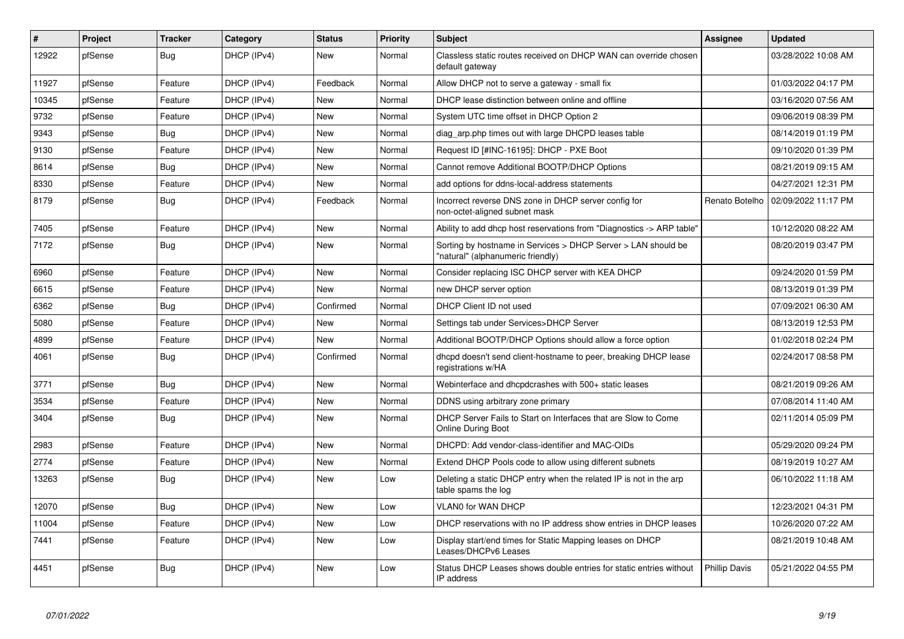| $\sharp$ | Project | <b>Tracker</b> | Category    | <b>Status</b> | <b>Priority</b> | <b>Subject</b>                                                                                     | <b>Assignee</b>      | <b>Updated</b>      |
|----------|---------|----------------|-------------|---------------|-----------------|----------------------------------------------------------------------------------------------------|----------------------|---------------------|
| 12922    | pfSense | Bug            | DHCP (IPv4) | <b>New</b>    | Normal          | Classless static routes received on DHCP WAN can override chosen<br>default gateway                |                      | 03/28/2022 10:08 AM |
| 11927    | pfSense | Feature        | DHCP (IPv4) | Feedback      | Normal          | Allow DHCP not to serve a gateway - small fix                                                      |                      | 01/03/2022 04:17 PM |
| 10345    | pfSense | Feature        | DHCP (IPv4) | <b>New</b>    | Normal          | DHCP lease distinction between online and offline                                                  |                      | 03/16/2020 07:56 AM |
| 9732     | pfSense | Feature        | DHCP (IPv4) | New           | Normal          | System UTC time offset in DHCP Option 2                                                            |                      | 09/06/2019 08:39 PM |
| 9343     | pfSense | <b>Bug</b>     | DHCP (IPv4) | <b>New</b>    | Normal          | diag arp.php times out with large DHCPD leases table                                               |                      | 08/14/2019 01:19 PM |
| 9130     | pfSense | Feature        | DHCP (IPv4) | <b>New</b>    | Normal          | Request ID [#INC-16195]: DHCP - PXE Boot                                                           |                      | 09/10/2020 01:39 PM |
| 8614     | pfSense | <b>Bug</b>     | DHCP (IPv4) | New           | Normal          | Cannot remove Additional BOOTP/DHCP Options                                                        |                      | 08/21/2019 09:15 AM |
| 8330     | pfSense | Feature        | DHCP (IPv4) | <b>New</b>    | Normal          | add options for ddns-local-address statements                                                      |                      | 04/27/2021 12:31 PM |
| 8179     | pfSense | <b>Bug</b>     | DHCP (IPv4) | Feedback      | Normal          | Incorrect reverse DNS zone in DHCP server config for<br>non-octet-aligned subnet mask              | Renato Botelho       | 02/09/2022 11:17 PM |
| 7405     | pfSense | Feature        | DHCP (IPv4) | <b>New</b>    | Normal          | Ability to add dhcp host reservations from "Diagnostics -> ARP table"                              |                      | 10/12/2020 08:22 AM |
| 7172     | pfSense | <b>Bug</b>     | DHCP (IPv4) | <b>New</b>    | Normal          | Sorting by hostname in Services > DHCP Server > LAN should be<br>"natural" (alphanumeric friendly) |                      | 08/20/2019 03:47 PM |
| 6960     | pfSense | Feature        | DHCP (IPv4) | <b>New</b>    | Normal          | Consider replacing ISC DHCP server with KEA DHCP                                                   |                      | 09/24/2020 01:59 PM |
| 6615     | pfSense | Feature        | DHCP (IPv4) | New           | Normal          | new DHCP server option                                                                             |                      | 08/13/2019 01:39 PM |
| 6362     | pfSense | <b>Bug</b>     | DHCP (IPv4) | Confirmed     | Normal          | DHCP Client ID not used                                                                            |                      | 07/09/2021 06:30 AM |
| 5080     | pfSense | Feature        | DHCP (IPv4) | New           | Normal          | Settings tab under Services>DHCP Server                                                            |                      | 08/13/2019 12:53 PM |
| 4899     | pfSense | Feature        | DHCP (IPv4) | <b>New</b>    | Normal          | Additional BOOTP/DHCP Options should allow a force option                                          |                      | 01/02/2018 02:24 PM |
| 4061     | pfSense | <b>Bug</b>     | DHCP (IPv4) | Confirmed     | Normal          | dhcpd doesn't send client-hostname to peer, breaking DHCP lease<br>registrations w/HA              |                      | 02/24/2017 08:58 PM |
| 3771     | pfSense | Bug            | DHCP (IPv4) | New           | Normal          | Webinterface and dhcpdcrashes with 500+ static leases                                              |                      | 08/21/2019 09:26 AM |
| 3534     | pfSense | Feature        | DHCP (IPv4) | New           | Normal          | DDNS using arbitrary zone primary                                                                  |                      | 07/08/2014 11:40 AM |
| 3404     | pfSense | <b>Bug</b>     | DHCP (IPv4) | New           | Normal          | DHCP Server Fails to Start on Interfaces that are Slow to Come<br><b>Online During Boot</b>        |                      | 02/11/2014 05:09 PM |
| 2983     | pfSense | Feature        | DHCP (IPv4) | <b>New</b>    | Normal          | DHCPD: Add vendor-class-identifier and MAC-OIDs                                                    |                      | 05/29/2020 09:24 PM |
| 2774     | pfSense | Feature        | DHCP (IPv4) | <b>New</b>    | Normal          | Extend DHCP Pools code to allow using different subnets                                            |                      | 08/19/2019 10:27 AM |
| 13263    | pfSense | Bug            | DHCP (IPv4) | New           | Low             | Deleting a static DHCP entry when the related IP is not in the arp<br>table spams the log          |                      | 06/10/2022 11:18 AM |
| 12070    | pfSense | <b>Bug</b>     | DHCP (IPv4) | <b>New</b>    | Low             | <b>VLAN0 for WAN DHCP</b>                                                                          |                      | 12/23/2021 04:31 PM |
| 11004    | pfSense | Feature        | DHCP (IPv4) | <b>New</b>    | Low             | DHCP reservations with no IP address show entries in DHCP leases                                   |                      | 10/26/2020 07:22 AM |
| 7441     | pfSense | Feature        | DHCP (IPv4) | New           | Low             | Display start/end times for Static Mapping leases on DHCP<br>Leases/DHCPv6 Leases                  |                      | 08/21/2019 10:48 AM |
| 4451     | pfSense | <b>Bug</b>     | DHCP (IPv4) | <b>New</b>    | Low             | Status DHCP Leases shows double entries for static entries without<br>IP address                   | <b>Phillip Davis</b> | 05/21/2022 04:55 PM |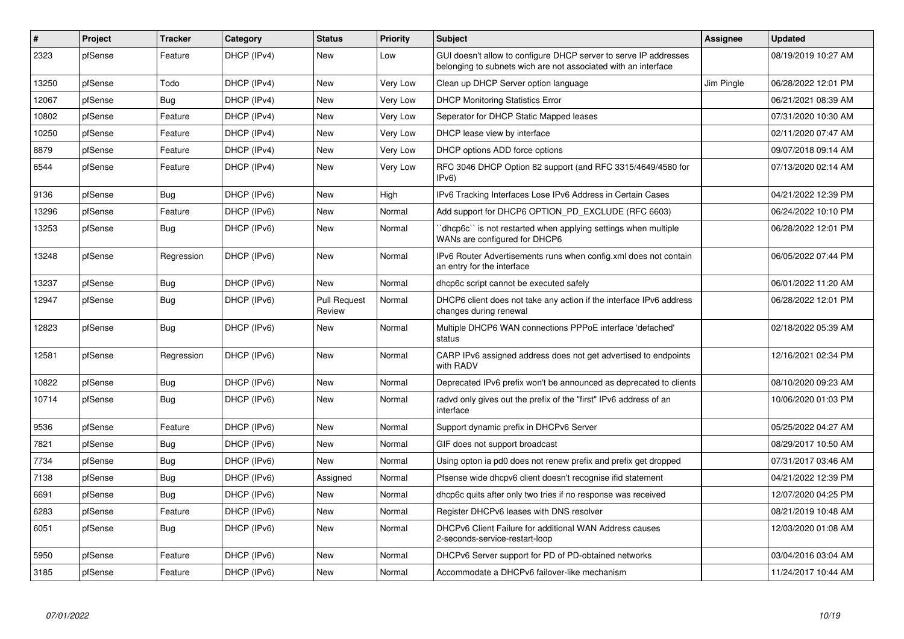| $\sharp$ | Project | <b>Tracker</b> | Category    | <b>Status</b>                 | <b>Priority</b> | <b>Subject</b>                                                                                                                     | Assignee   | <b>Updated</b>      |
|----------|---------|----------------|-------------|-------------------------------|-----------------|------------------------------------------------------------------------------------------------------------------------------------|------------|---------------------|
| 2323     | pfSense | Feature        | DHCP (IPv4) | New                           | Low             | GUI doesn't allow to configure DHCP server to serve IP addresses<br>belonging to subnets wich are not associated with an interface |            | 08/19/2019 10:27 AM |
| 13250    | pfSense | Todo           | DHCP (IPv4) | <b>New</b>                    | Very Low        | Clean up DHCP Server option language                                                                                               | Jim Pingle | 06/28/2022 12:01 PM |
| 12067    | pfSense | <b>Bug</b>     | DHCP (IPv4) | New                           | Very Low        | <b>DHCP Monitoring Statistics Error</b>                                                                                            |            | 06/21/2021 08:39 AM |
| 10802    | pfSense | Feature        | DHCP (IPv4) | <b>New</b>                    | Very Low        | Seperator for DHCP Static Mapped leases                                                                                            |            | 07/31/2020 10:30 AM |
| 10250    | pfSense | Feature        | DHCP (IPv4) | New                           | Very Low        | DHCP lease view by interface                                                                                                       |            | 02/11/2020 07:47 AM |
| 8879     | pfSense | Feature        | DHCP (IPv4) | New                           | <b>Very Low</b> | DHCP options ADD force options                                                                                                     |            | 09/07/2018 09:14 AM |
| 6544     | pfSense | Feature        | DHCP (IPv4) | New                           | Very Low        | RFC 3046 DHCP Option 82 support (and RFC 3315/4649/4580 for<br>IPv6                                                                |            | 07/13/2020 02:14 AM |
| 9136     | pfSense | Bug            | DHCP (IPv6) | <b>New</b>                    | High            | IPv6 Tracking Interfaces Lose IPv6 Address in Certain Cases                                                                        |            | 04/21/2022 12:39 PM |
| 13296    | pfSense | Feature        | DHCP (IPv6) | <b>New</b>                    | Normal          | Add support for DHCP6 OPTION PD EXCLUDE (RFC 6603)                                                                                 |            | 06/24/2022 10:10 PM |
| 13253    | pfSense | <b>Bug</b>     | DHCP (IPv6) | <b>New</b>                    | Normal          | dhcp6c" is not restarted when applying settings when multiple<br>WANs are configured for DHCP6                                     |            | 06/28/2022 12:01 PM |
| 13248    | pfSense | Regression     | DHCP (IPv6) | <b>New</b>                    | Normal          | IPv6 Router Advertisements runs when config.xml does not contain<br>an entry for the interface                                     |            | 06/05/2022 07:44 PM |
| 13237    | pfSense | Bug            | DHCP (IPv6) | <b>New</b>                    | Normal          | dhcp6c script cannot be executed safely                                                                                            |            | 06/01/2022 11:20 AM |
| 12947    | pfSense | <b>Bug</b>     | DHCP (IPv6) | <b>Pull Request</b><br>Review | Normal          | DHCP6 client does not take any action if the interface IPv6 address<br>changes during renewal                                      |            | 06/28/2022 12:01 PM |
| 12823    | pfSense | Bug            | DHCP (IPv6) | New                           | Normal          | Multiple DHCP6 WAN connections PPPoE interface 'defached'<br>status                                                                |            | 02/18/2022 05:39 AM |
| 12581    | pfSense | Regression     | DHCP (IPv6) | <b>New</b>                    | Normal          | CARP IPv6 assigned address does not get advertised to endpoints<br>with RADV                                                       |            | 12/16/2021 02:34 PM |
| 10822    | pfSense | <b>Bug</b>     | DHCP (IPv6) | <b>New</b>                    | Normal          | Deprecated IPv6 prefix won't be announced as deprecated to clients                                                                 |            | 08/10/2020 09:23 AM |
| 10714    | pfSense | <b>Bug</b>     | DHCP (IPv6) | <b>New</b>                    | Normal          | radvd only gives out the prefix of the "first" IPv6 address of an<br>interface                                                     |            | 10/06/2020 01:03 PM |
| 9536     | pfSense | Feature        | DHCP (IPv6) | <b>New</b>                    | Normal          | Support dynamic prefix in DHCPv6 Server                                                                                            |            | 05/25/2022 04:27 AM |
| 7821     | pfSense | Bug            | DHCP (IPv6) | <b>New</b>                    | Normal          | GIF does not support broadcast                                                                                                     |            | 08/29/2017 10:50 AM |
| 7734     | pfSense | <b>Bug</b>     | DHCP (IPv6) | <b>New</b>                    | Normal          | Using opton ia pd0 does not renew prefix and prefix get dropped                                                                    |            | 07/31/2017 03:46 AM |
| 7138     | pfSense | <b>Bug</b>     | DHCP (IPv6) | Assigned                      | Normal          | Pfsense wide dhcpv6 client doesn't recognise if id statement                                                                       |            | 04/21/2022 12:39 PM |
| 6691     | pfSense | <b>Bug</b>     | DHCP (IPv6) | <b>New</b>                    | Normal          | dhcp6c quits after only two tries if no response was received                                                                      |            | 12/07/2020 04:25 PM |
| 6283     | pfSense | Feature        | DHCP (IPv6) | <b>New</b>                    | Normal          | Register DHCPv6 leases with DNS resolver                                                                                           |            | 08/21/2019 10:48 AM |
| 6051     | pfSense | Bug            | DHCP (IPv6) | <b>New</b>                    | Normal          | DHCPv6 Client Failure for additional WAN Address causes<br>2-seconds-service-restart-loop                                          |            | 12/03/2020 01:08 AM |
| 5950     | pfSense | Feature        | DHCP (IPv6) | New                           | Normal          | DHCPv6 Server support for PD of PD-obtained networks                                                                               |            | 03/04/2016 03:04 AM |
| 3185     | pfSense | Feature        | DHCP (IPv6) | <b>New</b>                    | Normal          | Accommodate a DHCPv6 failover-like mechanism                                                                                       |            | 11/24/2017 10:44 AM |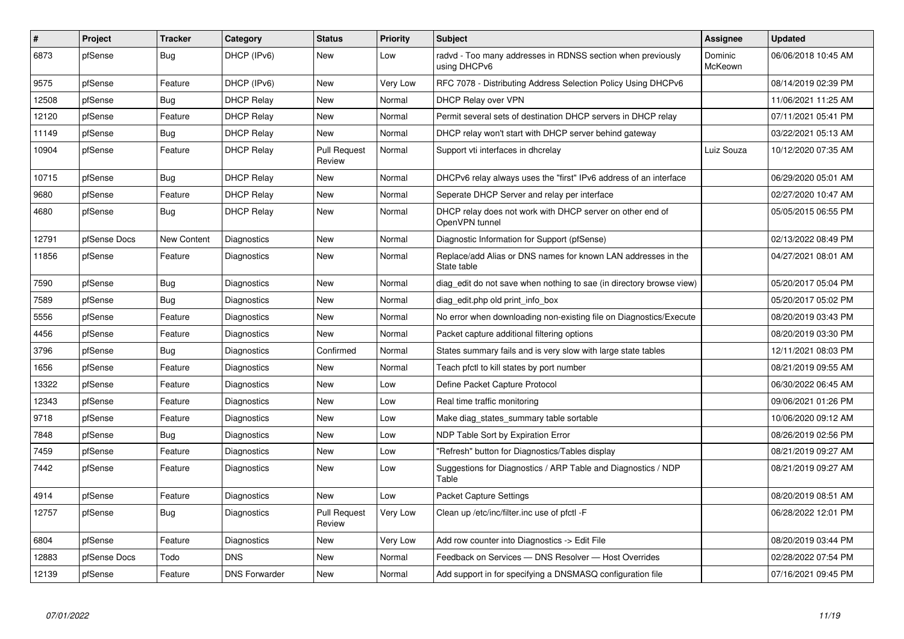| $\sharp$ | Project      | <b>Tracker</b>     | Category             | <b>Status</b>                 | Priority | <b>Subject</b>                                                               | Assignee           | <b>Updated</b>      |
|----------|--------------|--------------------|----------------------|-------------------------------|----------|------------------------------------------------------------------------------|--------------------|---------------------|
| 6873     | pfSense      | Bug                | DHCP (IPv6)          | <b>New</b>                    | Low      | radvd - Too many addresses in RDNSS section when previously<br>using DHCPv6  | Dominic<br>McKeown | 06/06/2018 10:45 AM |
| 9575     | pfSense      | Feature            | DHCP (IPv6)          | New                           | Very Low | RFC 7078 - Distributing Address Selection Policy Using DHCPv6                |                    | 08/14/2019 02:39 PM |
| 12508    | pfSense      | Bug                | <b>DHCP Relay</b>    | <b>New</b>                    | Normal   | <b>DHCP Relay over VPN</b>                                                   |                    | 11/06/2021 11:25 AM |
| 12120    | pfSense      | Feature            | <b>DHCP Relay</b>    | <b>New</b>                    | Normal   | Permit several sets of destination DHCP servers in DHCP relay                |                    | 07/11/2021 05:41 PM |
| 11149    | pfSense      | Bug                | <b>DHCP Relay</b>    | New                           | Normal   | DHCP relay won't start with DHCP server behind gateway                       |                    | 03/22/2021 05:13 AM |
| 10904    | pfSense      | Feature            | <b>DHCP Relay</b>    | <b>Pull Request</b><br>Review | Normal   | Support vti interfaces in dhcrelay                                           | Luiz Souza         | 10/12/2020 07:35 AM |
| 10715    | pfSense      | Bug                | <b>DHCP Relay</b>    | <b>New</b>                    | Normal   | DHCPv6 relay always uses the "first" IPv6 address of an interface            |                    | 06/29/2020 05:01 AM |
| 9680     | pfSense      | Feature            | <b>DHCP Relay</b>    | <b>New</b>                    | Normal   | Seperate DHCP Server and relay per interface                                 |                    | 02/27/2020 10:47 AM |
| 4680     | pfSense      | <b>Bug</b>         | <b>DHCP Relay</b>    | <b>New</b>                    | Normal   | DHCP relay does not work with DHCP server on other end of<br>OpenVPN tunnel  |                    | 05/05/2015 06:55 PM |
| 12791    | pfSense Docs | <b>New Content</b> | Diagnostics          | <b>New</b>                    | Normal   | Diagnostic Information for Support (pfSense)                                 |                    | 02/13/2022 08:49 PM |
| 11856    | pfSense      | Feature            | Diagnostics          | <b>New</b>                    | Normal   | Replace/add Alias or DNS names for known LAN addresses in the<br>State table |                    | 04/27/2021 08:01 AM |
| 7590     | pfSense      | <b>Bug</b>         | Diagnostics          | <b>New</b>                    | Normal   | diag edit do not save when nothing to sae (in directory browse view)         |                    | 05/20/2017 05:04 PM |
| 7589     | pfSense      | Bug                | Diagnostics          | New                           | Normal   | diag edit.php old print info box                                             |                    | 05/20/2017 05:02 PM |
| 5556     | pfSense      | Feature            | Diagnostics          | <b>New</b>                    | Normal   | No error when downloading non-existing file on Diagnostics/Execute           |                    | 08/20/2019 03:43 PM |
| 4456     | pfSense      | Feature            | Diagnostics          | New                           | Normal   | Packet capture additional filtering options                                  |                    | 08/20/2019 03:30 PM |
| 3796     | pfSense      | <b>Bug</b>         | Diagnostics          | Confirmed                     | Normal   | States summary fails and is very slow with large state tables                |                    | 12/11/2021 08:03 PM |
| 1656     | pfSense      | Feature            | Diagnostics          | New                           | Normal   | Teach pfctl to kill states by port number                                    |                    | 08/21/2019 09:55 AM |
| 13322    | pfSense      | Feature            | Diagnostics          | <b>New</b>                    | Low      | Define Packet Capture Protocol                                               |                    | 06/30/2022 06:45 AM |
| 12343    | pfSense      | Feature            | <b>Diagnostics</b>   | <b>New</b>                    | Low      | Real time traffic monitoring                                                 |                    | 09/06/2021 01:26 PM |
| 9718     | pfSense      | Feature            | Diagnostics          | <b>New</b>                    | Low      | Make diag states summary table sortable                                      |                    | 10/06/2020 09:12 AM |
| 7848     | pfSense      | Bug                | Diagnostics          | <b>New</b>                    | Low      | NDP Table Sort by Expiration Error                                           |                    | 08/26/2019 02:56 PM |
| 7459     | pfSense      | Feature            | Diagnostics          | <b>New</b>                    | Low      | 'Refresh" button for Diagnostics/Tables display                              |                    | 08/21/2019 09:27 AM |
| 7442     | pfSense      | Feature            | Diagnostics          | New                           | Low      | Suggestions for Diagnostics / ARP Table and Diagnostics / NDP<br>Table       |                    | 08/21/2019 09:27 AM |
| 4914     | pfSense      | Feature            | Diagnostics          | <b>New</b>                    | Low      | <b>Packet Capture Settings</b>                                               |                    | 08/20/2019 08:51 AM |
| 12757    | pfSense      | <b>Bug</b>         | Diagnostics          | <b>Pull Request</b><br>Review | Very Low | Clean up /etc/inc/filter.inc use of pfctl -F                                 |                    | 06/28/2022 12:01 PM |
| 6804     | pfSense      | Feature            | Diagnostics          | New                           | Very Low | Add row counter into Diagnostics -> Edit File                                |                    | 08/20/2019 03:44 PM |
| 12883    | pfSense Docs | Todo               | <b>DNS</b>           | New                           | Normal   | Feedback on Services - DNS Resolver - Host Overrides                         |                    | 02/28/2022 07:54 PM |
| 12139    | pfSense      | Feature            | <b>DNS Forwarder</b> | New                           | Normal   | Add support in for specifying a DNSMASQ configuration file                   |                    | 07/16/2021 09:45 PM |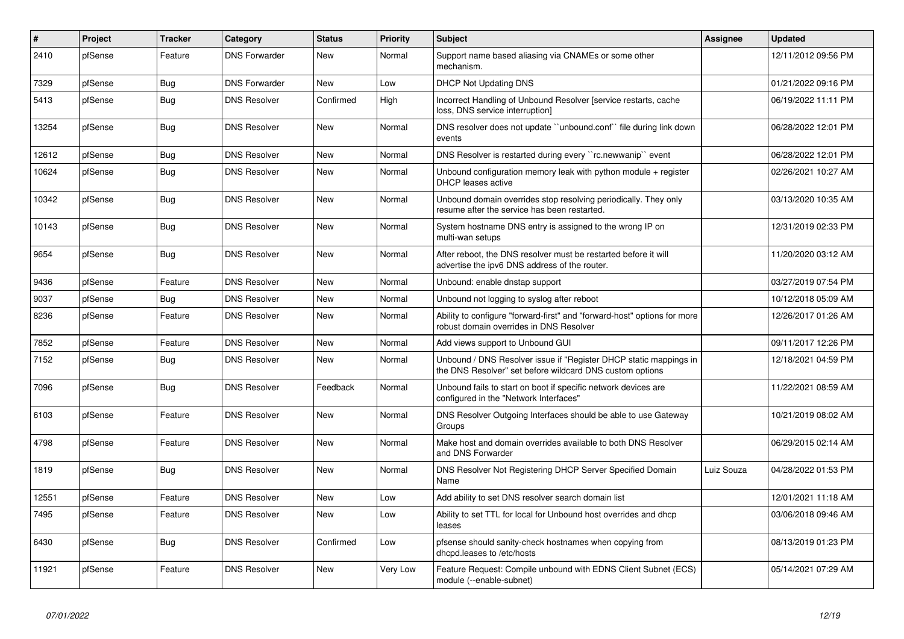| $\vert$ # | <b>Project</b> | <b>Tracker</b> | Category             | <b>Status</b> | Priority | <b>Subject</b>                                                                                                                | Assignee   | <b>Updated</b>      |
|-----------|----------------|----------------|----------------------|---------------|----------|-------------------------------------------------------------------------------------------------------------------------------|------------|---------------------|
| 2410      | pfSense        | Feature        | <b>DNS Forwarder</b> | <b>New</b>    | Normal   | Support name based aliasing via CNAMEs or some other<br>mechanism.                                                            |            | 12/11/2012 09:56 PM |
| 7329      | pfSense        | Bug            | <b>DNS Forwarder</b> | New           | Low      | <b>DHCP Not Updating DNS</b>                                                                                                  |            | 01/21/2022 09:16 PM |
| 5413      | pfSense        | <b>Bug</b>     | <b>DNS Resolver</b>  | Confirmed     | High     | Incorrect Handling of Unbound Resolver [service restarts, cache<br>loss, DNS service interruption]                            |            | 06/19/2022 11:11 PM |
| 13254     | pfSense        | <b>Bug</b>     | <b>DNS Resolver</b>  | New           | Normal   | DNS resolver does not update "unbound.conf" file during link down<br>events                                                   |            | 06/28/2022 12:01 PM |
| 12612     | pfSense        | Bug            | <b>DNS Resolver</b>  | <b>New</b>    | Normal   | DNS Resolver is restarted during every "rc.newwanip" event                                                                    |            | 06/28/2022 12:01 PM |
| 10624     | pfSense        | Bug            | <b>DNS Resolver</b>  | <b>New</b>    | Normal   | Unbound configuration memory leak with python module $+$ register<br><b>DHCP</b> leases active                                |            | 02/26/2021 10:27 AM |
| 10342     | pfSense        | Bug            | <b>DNS Resolver</b>  | <b>New</b>    | Normal   | Unbound domain overrides stop resolving periodically. They only<br>resume after the service has been restarted.               |            | 03/13/2020 10:35 AM |
| 10143     | pfSense        | Bug            | <b>DNS Resolver</b>  | <b>New</b>    | Normal   | System hostname DNS entry is assigned to the wrong IP on<br>multi-wan setups                                                  |            | 12/31/2019 02:33 PM |
| 9654      | pfSense        | Bug            | <b>DNS Resolver</b>  | <b>New</b>    | Normal   | After reboot, the DNS resolver must be restarted before it will<br>advertise the ipv6 DNS address of the router.              |            | 11/20/2020 03:12 AM |
| 9436      | pfSense        | Feature        | <b>DNS Resolver</b>  | <b>New</b>    | Normal   | Unbound: enable dnstap support                                                                                                |            | 03/27/2019 07:54 PM |
| 9037      | pfSense        | Bug            | <b>DNS Resolver</b>  | <b>New</b>    | Normal   | Unbound not logging to syslog after reboot                                                                                    |            | 10/12/2018 05:09 AM |
| 8236      | pfSense        | Feature        | <b>DNS Resolver</b>  | <b>New</b>    | Normal   | Ability to configure "forward-first" and "forward-host" options for more<br>robust domain overrides in DNS Resolver           |            | 12/26/2017 01:26 AM |
| 7852      | pfSense        | Feature        | <b>DNS Resolver</b>  | <b>New</b>    | Normal   | Add views support to Unbound GUI                                                                                              |            | 09/11/2017 12:26 PM |
| 7152      | pfSense        | <b>Bug</b>     | <b>DNS Resolver</b>  | <b>New</b>    | Normal   | Unbound / DNS Resolver issue if "Register DHCP static mappings in<br>the DNS Resolver" set before wildcard DNS custom options |            | 12/18/2021 04:59 PM |
| 7096      | pfSense        | <b>Bug</b>     | <b>DNS Resolver</b>  | Feedback      | Normal   | Unbound fails to start on boot if specific network devices are<br>configured in the "Network Interfaces"                      |            | 11/22/2021 08:59 AM |
| 6103      | pfSense        | Feature        | <b>DNS Resolver</b>  | New           | Normal   | DNS Resolver Outgoing Interfaces should be able to use Gateway<br>Groups                                                      |            | 10/21/2019 08:02 AM |
| 4798      | pfSense        | Feature        | <b>DNS Resolver</b>  | <b>New</b>    | Normal   | Make host and domain overrides available to both DNS Resolver<br>and DNS Forwarder                                            |            | 06/29/2015 02:14 AM |
| 1819      | pfSense        | Bug            | <b>DNS Resolver</b>  | <b>New</b>    | Normal   | DNS Resolver Not Registering DHCP Server Specified Domain<br>Name                                                             | Luiz Souza | 04/28/2022 01:53 PM |
| 12551     | pfSense        | Feature        | <b>DNS Resolver</b>  | <b>New</b>    | Low      | Add ability to set DNS resolver search domain list                                                                            |            | 12/01/2021 11:18 AM |
| 7495      | pfSense        | Feature        | <b>DNS Resolver</b>  | New           | Low      | Ability to set TTL for local for Unbound host overrides and dhcp<br>leases                                                    |            | 03/06/2018 09:46 AM |
| 6430      | pfSense        | <b>Bug</b>     | <b>DNS Resolver</b>  | Confirmed     | Low      | pfsense should sanity-check hostnames when copying from<br>dhcpd.leases to /etc/hosts                                         |            | 08/13/2019 01:23 PM |
| 11921     | pfSense        | Feature        | <b>DNS Resolver</b>  | <b>New</b>    | Very Low | Feature Request: Compile unbound with EDNS Client Subnet (ECS)<br>module (--enable-subnet)                                    |            | 05/14/2021 07:29 AM |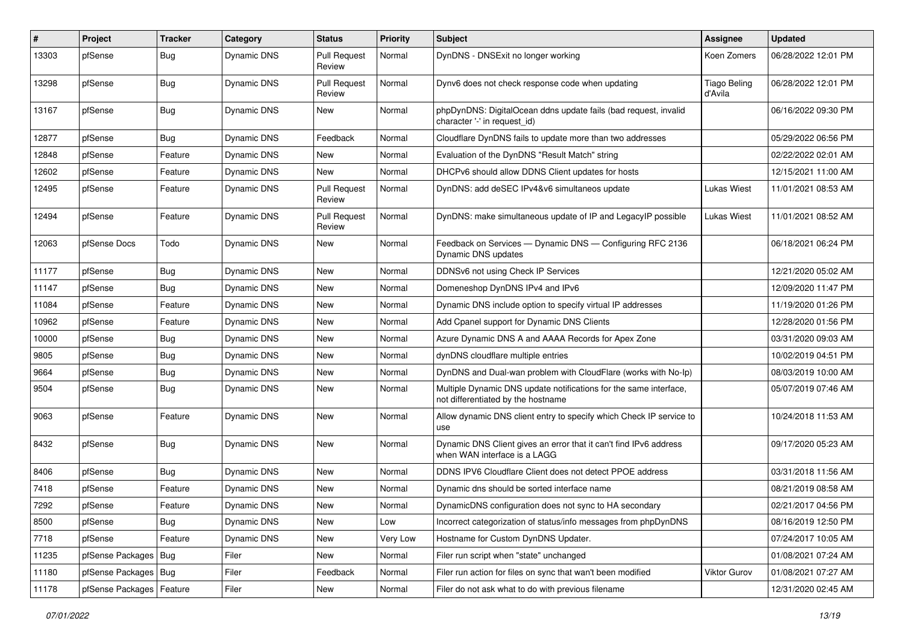| #     | Project                    | <b>Tracker</b> | Category    | <b>Status</b>                 | <b>Priority</b> | <b>Subject</b>                                                                                          | <b>Assignee</b>                | <b>Updated</b>      |
|-------|----------------------------|----------------|-------------|-------------------------------|-----------------|---------------------------------------------------------------------------------------------------------|--------------------------------|---------------------|
| 13303 | pfSense                    | <b>Bug</b>     | Dynamic DNS | <b>Pull Request</b><br>Review | Normal          | DynDNS - DNSExit no longer working                                                                      | Koen Zomers                    | 06/28/2022 12:01 PM |
| 13298 | pfSense                    | <b>Bug</b>     | Dynamic DNS | <b>Pull Request</b><br>Review | Normal          | Dynv6 does not check response code when updating                                                        | <b>Tiago Beling</b><br>d'Avila | 06/28/2022 12:01 PM |
| 13167 | pfSense                    | <b>Bug</b>     | Dynamic DNS | New                           | Normal          | phpDynDNS: DigitalOcean ddns update fails (bad request, invalid<br>character '-' in request_id)         |                                | 06/16/2022 09:30 PM |
| 12877 | pfSense                    | <b>Bug</b>     | Dynamic DNS | Feedback                      | Normal          | Cloudflare DynDNS fails to update more than two addresses                                               |                                | 05/29/2022 06:56 PM |
| 12848 | pfSense                    | Feature        | Dynamic DNS | New                           | Normal          | Evaluation of the DynDNS "Result Match" string                                                          |                                | 02/22/2022 02:01 AM |
| 12602 | pfSense                    | Feature        | Dynamic DNS | New                           | Normal          | DHCPv6 should allow DDNS Client updates for hosts                                                       |                                | 12/15/2021 11:00 AM |
| 12495 | pfSense                    | Feature        | Dynamic DNS | <b>Pull Request</b><br>Review | Normal          | DynDNS: add deSEC IPv4&v6 simultaneos update                                                            | <b>Lukas Wiest</b>             | 11/01/2021 08:53 AM |
| 12494 | pfSense                    | Feature        | Dynamic DNS | <b>Pull Request</b><br>Review | Normal          | DynDNS: make simultaneous update of IP and LegacyIP possible                                            | Lukas Wiest                    | 11/01/2021 08:52 AM |
| 12063 | pfSense Docs               | Todo           | Dynamic DNS | New                           | Normal          | Feedback on Services - Dynamic DNS - Configuring RFC 2136<br>Dynamic DNS updates                        |                                | 06/18/2021 06:24 PM |
| 11177 | pfSense                    | <b>Bug</b>     | Dynamic DNS | <b>New</b>                    | Normal          | DDNSv6 not using Check IP Services                                                                      |                                | 12/21/2020 05:02 AM |
| 11147 | pfSense                    | <b>Bug</b>     | Dynamic DNS | New                           | Normal          | Domeneshop DynDNS IPv4 and IPv6                                                                         |                                | 12/09/2020 11:47 PM |
| 11084 | pfSense                    | Feature        | Dynamic DNS | New                           | Normal          | Dynamic DNS include option to specify virtual IP addresses                                              |                                | 11/19/2020 01:26 PM |
| 10962 | pfSense                    | Feature        | Dynamic DNS | New                           | Normal          | Add Cpanel support for Dynamic DNS Clients                                                              |                                | 12/28/2020 01:56 PM |
| 10000 | pfSense                    | <b>Bug</b>     | Dynamic DNS | <b>New</b>                    | Normal          | Azure Dynamic DNS A and AAAA Records for Apex Zone                                                      |                                | 03/31/2020 09:03 AM |
| 9805  | pfSense                    | <b>Bug</b>     | Dynamic DNS | New                           | Normal          | dynDNS cloudflare multiple entries                                                                      |                                | 10/02/2019 04:51 PM |
| 9664  | pfSense                    | <b>Bug</b>     | Dynamic DNS | New                           | Normal          | DynDNS and Dual-wan problem with CloudFlare (works with No-Ip)                                          |                                | 08/03/2019 10:00 AM |
| 9504  | pfSense                    | <b>Bug</b>     | Dynamic DNS | New                           | Normal          | Multiple Dynamic DNS update notifications for the same interface,<br>not differentiated by the hostname |                                | 05/07/2019 07:46 AM |
| 9063  | pfSense                    | Feature        | Dynamic DNS | New                           | Normal          | Allow dynamic DNS client entry to specify which Check IP service to<br>use                              |                                | 10/24/2018 11:53 AM |
| 8432  | pfSense                    | <b>Bug</b>     | Dynamic DNS | <b>New</b>                    | Normal          | Dynamic DNS Client gives an error that it can't find IPv6 address<br>when WAN interface is a LAGG       |                                | 09/17/2020 05:23 AM |
| 8406  | pfSense                    | <b>Bug</b>     | Dynamic DNS | <b>New</b>                    | Normal          | DDNS IPV6 Cloudflare Client does not detect PPOE address                                                |                                | 03/31/2018 11:56 AM |
| 7418  | pfSense                    | Feature        | Dynamic DNS | New                           | Normal          | Dynamic dns should be sorted interface name                                                             |                                | 08/21/2019 08:58 AM |
| 7292  | pfSense                    | Feature        | Dynamic DNS | New                           | Normal          | DynamicDNS configuration does not sync to HA secondary                                                  |                                | 02/21/2017 04:56 PM |
| 8500  | pfSense                    | <b>Bug</b>     | Dynamic DNS | New                           | Low             | Incorrect categorization of status/info messages from phpDynDNS                                         |                                | 08/16/2019 12:50 PM |
| 7718  | pfSense                    | Feature        | Dynamic DNS | New                           | Very Low        | Hostname for Custom DynDNS Updater.                                                                     |                                | 07/24/2017 10:05 AM |
| 11235 | pfSense Packages   Bug     |                | Filer       | New                           | Normal          | Filer run script when "state" unchanged                                                                 |                                | 01/08/2021 07:24 AM |
| 11180 | pfSense Packages   Bug     |                | Filer       | Feedback                      | Normal          | Filer run action for files on sync that wan't been modified                                             | Viktor Gurov                   | 01/08/2021 07:27 AM |
| 11178 | pfSense Packages   Feature |                | Filer       | New                           | Normal          | Filer do not ask what to do with previous filename                                                      |                                | 12/31/2020 02:45 AM |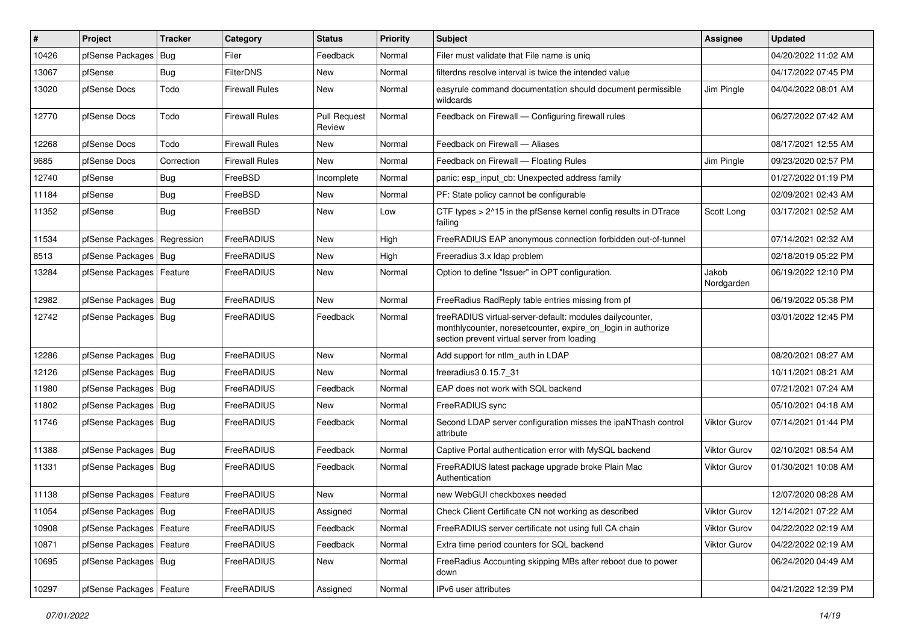| #     | Project                    | <b>Tracker</b> | Category              | <b>Status</b>                 | <b>Priority</b> | <b>Subject</b>                                                                                                                                                          | Assignee            | <b>Updated</b>      |
|-------|----------------------------|----------------|-----------------------|-------------------------------|-----------------|-------------------------------------------------------------------------------------------------------------------------------------------------------------------------|---------------------|---------------------|
| 10426 | pfSense Packages           | <b>Bug</b>     | Filer                 | Feedback                      | Normal          | Filer must validate that File name is uniq                                                                                                                              |                     | 04/20/2022 11:02 AM |
| 13067 | pfSense                    | <b>Bug</b>     | <b>FilterDNS</b>      | New                           | Normal          | filterdns resolve interval is twice the intended value                                                                                                                  |                     | 04/17/2022 07:45 PM |
| 13020 | pfSense Docs               | Todo           | Firewall Rules        | New                           | Normal          | easyrule command documentation should document permissible<br>wildcards                                                                                                 | Jim Pingle          | 04/04/2022 08:01 AM |
| 12770 | pfSense Docs               | Todo           | <b>Firewall Rules</b> | <b>Pull Request</b><br>Review | Normal          | Feedback on Firewall - Configuring firewall rules                                                                                                                       |                     | 06/27/2022 07:42 AM |
| 12268 | pfSense Docs               | Todo           | <b>Firewall Rules</b> | New                           | Normal          | Feedback on Firewall - Aliases                                                                                                                                          |                     | 08/17/2021 12:55 AM |
| 9685  | pfSense Docs               | Correction     | <b>Firewall Rules</b> | <b>New</b>                    | Normal          | Feedback on Firewall - Floating Rules                                                                                                                                   | Jim Pingle          | 09/23/2020 02:57 PM |
| 12740 | pfSense                    | <b>Bug</b>     | FreeBSD               | Incomplete                    | Normal          | panic: esp input cb: Unexpected address family                                                                                                                          |                     | 01/27/2022 01:19 PM |
| 11184 | pfSense                    | <b>Bug</b>     | FreeBSD               | New                           | Normal          | PF: State policy cannot be configurable                                                                                                                                 |                     | 02/09/2021 02:43 AM |
| 11352 | pfSense                    | <b>Bug</b>     | FreeBSD               | New                           | Low             | CTF types > 2^15 in the pfSense kernel config results in DTrace<br>failing                                                                                              | Scott Long          | 03/17/2021 02:52 AM |
| 11534 | pfSense Packages           | Regression     | FreeRADIUS            | <b>New</b>                    | High            | FreeRADIUS EAP anonymous connection forbidden out-of-tunnel                                                                                                             |                     | 07/14/2021 02:32 AM |
| 8513  | pfSense Packages   Bug     |                | FreeRADIUS            | New                           | High            | Freeradius 3.x Idap problem                                                                                                                                             |                     | 02/18/2019 05:22 PM |
| 13284 | pfSense Packages   Feature |                | FreeRADIUS            | New                           | Normal          | Option to define "Issuer" in OPT configuration.                                                                                                                         | Jakob<br>Nordgarden | 06/19/2022 12:10 PM |
| 12982 | pfSense Packages   Bug     |                | FreeRADIUS            | <b>New</b>                    | Normal          | FreeRadius RadReply table entries missing from pf                                                                                                                       |                     | 06/19/2022 05:38 PM |
| 12742 | pfSense Packages   Bug     |                | FreeRADIUS            | Feedback                      | Normal          | freeRADIUS virtual-server-default: modules dailycounter,<br>monthlycounter, noresetcounter, expire_on_login in authorize<br>section prevent virtual server from loading |                     | 03/01/2022 12:45 PM |
| 12286 | pfSense Packages   Bug     |                | FreeRADIUS            | <b>New</b>                    | Normal          | Add support for ntlm auth in LDAP                                                                                                                                       |                     | 08/20/2021 08:27 AM |
| 12126 | pfSense Packages   Bug     |                | FreeRADIUS            | <b>New</b>                    | Normal          | freeradius3 0.15.7 31                                                                                                                                                   |                     | 10/11/2021 08:21 AM |
| 11980 | pfSense Packages   Bug     |                | FreeRADIUS            | Feedback                      | Normal          | EAP does not work with SQL backend                                                                                                                                      |                     | 07/21/2021 07:24 AM |
| 11802 | pfSense Packages   Bug     |                | FreeRADIUS            | <b>New</b>                    | Normal          | FreeRADIUS sync                                                                                                                                                         |                     | 05/10/2021 04:18 AM |
| 11746 | pfSense Packages   Bug     |                | FreeRADIUS            | Feedback                      | Normal          | Second LDAP server configuration misses the ipaNThash control<br>attribute                                                                                              | Viktor Gurov        | 07/14/2021 01:44 PM |
| 11388 | pfSense Packages   Bug     |                | FreeRADIUS            | Feedback                      | Normal          | Captive Portal authentication error with MySQL backend                                                                                                                  | <b>Viktor Gurov</b> | 02/10/2021 08:54 AM |
| 11331 | pfSense Packages   Bug     |                | FreeRADIUS            | Feedback                      | Normal          | FreeRADIUS latest package upgrade broke Plain Mac<br>Authentication                                                                                                     | <b>Viktor Gurov</b> | 01/30/2021 10:08 AM |
| 11138 | pfSense Packages   Feature |                | FreeRADIUS            | New                           | Normal          | new WebGUI checkboxes needed                                                                                                                                            |                     | 12/07/2020 08:28 AM |
| 11054 | pfSense Packages   Bug     |                | FreeRADIUS            | Assigned                      | Normal          | Check Client Certificate CN not working as described                                                                                                                    | Viktor Gurov        | 12/14/2021 07:22 AM |
| 10908 | pfSense Packages           | Feature        | FreeRADIUS            | Feedback                      | Normal          | FreeRADIUS server certificate not using full CA chain                                                                                                                   | Viktor Gurov        | 04/22/2022 02:19 AM |
| 10871 | pfSense Packages   Feature |                | FreeRADIUS            | Feedback                      | Normal          | Extra time period counters for SQL backend                                                                                                                              | Viktor Gurov        | 04/22/2022 02:19 AM |
| 10695 | pfSense Packages   Bug     |                | FreeRADIUS            | New                           | Normal          | FreeRadius Accounting skipping MBs after reboot due to power<br>down                                                                                                    |                     | 06/24/2020 04:49 AM |
| 10297 | pfSense Packages           | Feature        | FreeRADIUS            | Assigned                      | Normal          | IPv6 user attributes                                                                                                                                                    |                     | 04/21/2022 12:39 PM |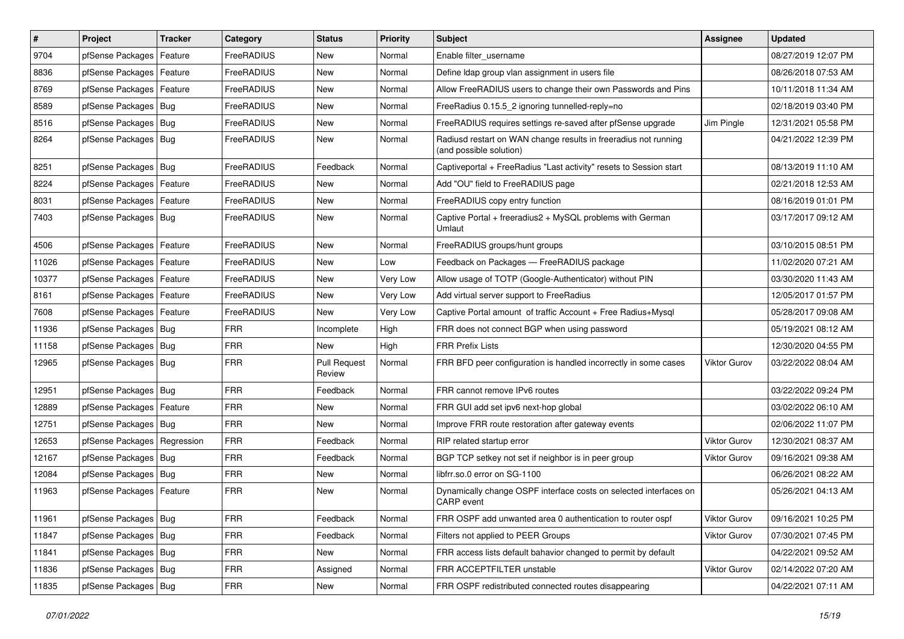| $\vert$ # | Project                    | <b>Tracker</b> | Category   | <b>Status</b>                 | <b>Priority</b> | Subject                                                                                    | Assignee            | <b>Updated</b>      |
|-----------|----------------------------|----------------|------------|-------------------------------|-----------------|--------------------------------------------------------------------------------------------|---------------------|---------------------|
| 9704      | pfSense Packages           | Feature        | FreeRADIUS | New                           | Normal          | Enable filter_username                                                                     |                     | 08/27/2019 12:07 PM |
| 8836      | pfSense Packages   Feature |                | FreeRADIUS | New                           | Normal          | Define Idap group vlan assignment in users file                                            |                     | 08/26/2018 07:53 AM |
| 8769      | pfSense Packages   Feature |                | FreeRADIUS | New                           | Normal          | Allow FreeRADIUS users to change their own Passwords and Pins                              |                     | 10/11/2018 11:34 AM |
| 8589      | pfSense Packages   Bug     |                | FreeRADIUS | <b>New</b>                    | Normal          | FreeRadius 0.15.5 2 ignoring tunnelled-reply=no                                            |                     | 02/18/2019 03:40 PM |
| 8516      | pfSense Packages   Bug     |                | FreeRADIUS | <b>New</b>                    | Normal          | FreeRADIUS requires settings re-saved after pfSense upgrade                                | Jim Pingle          | 12/31/2021 05:58 PM |
| 8264      | pfSense Packages   Bug     |                | FreeRADIUS | New                           | Normal          | Radiusd restart on WAN change results in freeradius not running<br>(and possible solution) |                     | 04/21/2022 12:39 PM |
| 8251      | pfSense Packages   Bug     |                | FreeRADIUS | Feedback                      | Normal          | Captiveportal + FreeRadius "Last activity" resets to Session start                         |                     | 08/13/2019 11:10 AM |
| 8224      | pfSense Packages   Feature |                | FreeRADIUS | New                           | Normal          | Add "OU" field to FreeRADIUS page                                                          |                     | 02/21/2018 12:53 AM |
| 8031      | pfSense Packages   Feature |                | FreeRADIUS | <b>New</b>                    | Normal          | FreeRADIUS copy entry function                                                             |                     | 08/16/2019 01:01 PM |
| 7403      | pfSense Packages   Bug     |                | FreeRADIUS | New                           | Normal          | Captive Portal + freeradius2 + MySQL problems with German<br>Umlaut                        |                     | 03/17/2017 09:12 AM |
| 4506      | pfSense Packages           | Feature        | FreeRADIUS | <b>New</b>                    | Normal          | FreeRADIUS groups/hunt groups                                                              |                     | 03/10/2015 08:51 PM |
| 11026     | pfSense Packages           | Feature        | FreeRADIUS | <b>New</b>                    | Low             | Feedback on Packages - FreeRADIUS package                                                  |                     | 11/02/2020 07:21 AM |
| 10377     | pfSense Packages   Feature |                | FreeRADIUS | New                           | Very Low        | Allow usage of TOTP (Google-Authenticator) without PIN                                     |                     | 03/30/2020 11:43 AM |
| 8161      | pfSense Packages           | Feature        | FreeRADIUS | <b>New</b>                    | Very Low        | Add virtual server support to FreeRadius                                                   |                     | 12/05/2017 01:57 PM |
| 7608      | pfSense Packages   Feature |                | FreeRADIUS | New                           | Very Low        | Captive Portal amount of traffic Account + Free Radius+Mysql                               |                     | 05/28/2017 09:08 AM |
| 11936     | pfSense Packages   Bug     |                | <b>FRR</b> | Incomplete                    | High            | FRR does not connect BGP when using password                                               |                     | 05/19/2021 08:12 AM |
| 11158     | pfSense Packages   Bug     |                | <b>FRR</b> | New                           | High            | <b>FRR Prefix Lists</b>                                                                    |                     | 12/30/2020 04:55 PM |
| 12965     | pfSense Packages   Bug     |                | <b>FRR</b> | <b>Pull Request</b><br>Review | Normal          | FRR BFD peer configuration is handled incorrectly in some cases                            | <b>Viktor Gurov</b> | 03/22/2022 08:04 AM |
| 12951     | pfSense Packages   Bug     |                | <b>FRR</b> | Feedback                      | Normal          | FRR cannot remove IPv6 routes                                                              |                     | 03/22/2022 09:24 PM |
| 12889     | pfSense Packages   Feature |                | <b>FRR</b> | New                           | Normal          | FRR GUI add set ipv6 next-hop global                                                       |                     | 03/02/2022 06:10 AM |
| 12751     | pfSense Packages   Bug     |                | <b>FRR</b> | New                           | Normal          | Improve FRR route restoration after gateway events                                         |                     | 02/06/2022 11:07 PM |
| 12653     | pfSense Packages           | Regression     | <b>FRR</b> | Feedback                      | Normal          | RIP related startup error                                                                  | <b>Viktor Gurov</b> | 12/30/2021 08:37 AM |
| 12167     | pfSense Packages   Bug     |                | <b>FRR</b> | Feedback                      | Normal          | BGP TCP setkey not set if neighbor is in peer group                                        | Viktor Gurov        | 09/16/2021 09:38 AM |
| 12084     | pfSense Packages   Bug     |                | FRR        | New                           | Normal          | libfrr.so.0 error on SG-1100                                                               |                     | 06/26/2021 08:22 AM |
| 11963     | pfSense Packages   Feature |                | <b>FRR</b> | <b>New</b>                    | Normal          | Dynamically change OSPF interface costs on selected interfaces on<br>CARP event            |                     | 05/26/2021 04:13 AM |
| 11961     | pfSense Packages   Bug     |                | <b>FRR</b> | Feedback                      | Normal          | FRR OSPF add unwanted area 0 authentication to router ospf                                 | Viktor Gurov        | 09/16/2021 10:25 PM |
| 11847     | pfSense Packages   Bug     |                | <b>FRR</b> | Feedback                      | Normal          | Filters not applied to PEER Groups                                                         | Viktor Gurov        | 07/30/2021 07:45 PM |
| 11841     | pfSense Packages   Bug     |                | FRR        | New                           | Normal          | FRR access lists default bahavior changed to permit by default                             |                     | 04/22/2021 09:52 AM |
| 11836     | pfSense Packages   Bug     |                | <b>FRR</b> | Assigned                      | Normal          | FRR ACCEPTFILTER unstable                                                                  | Viktor Gurov        | 02/14/2022 07:20 AM |
| 11835     | pfSense Packages   Bug     |                | <b>FRR</b> | New                           | Normal          | FRR OSPF redistributed connected routes disappearing                                       |                     | 04/22/2021 07:11 AM |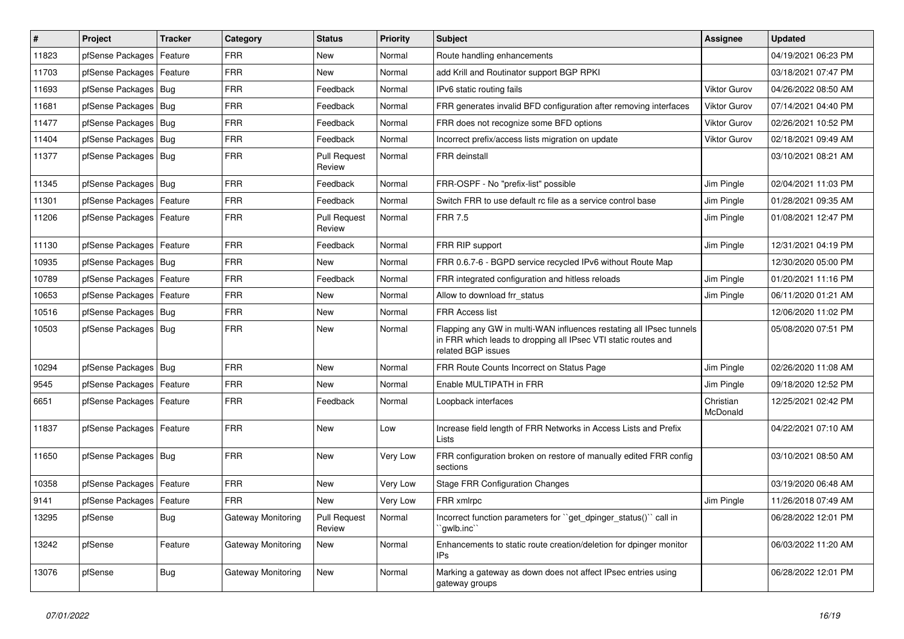| #     | Project                    | <b>Tracker</b> | Category           | <b>Status</b>                 | <b>Priority</b> | <b>Subject</b>                                                                                                                                              | Assignee              | <b>Updated</b>      |
|-------|----------------------------|----------------|--------------------|-------------------------------|-----------------|-------------------------------------------------------------------------------------------------------------------------------------------------------------|-----------------------|---------------------|
| 11823 | pfSense Packages           | Feature        | <b>FRR</b>         | <b>New</b>                    | Normal          | Route handling enhancements                                                                                                                                 |                       | 04/19/2021 06:23 PM |
| 11703 | pfSense Packages           | Feature        | <b>FRR</b>         | <b>New</b>                    | Normal          | add Krill and Routinator support BGP RPKI                                                                                                                   |                       | 03/18/2021 07:47 PM |
| 11693 | pfSense Packages           | Bug            | <b>FRR</b>         | Feedback                      | Normal          | IPv6 static routing fails                                                                                                                                   | <b>Viktor Gurov</b>   | 04/26/2022 08:50 AM |
| 11681 | pfSense Packages           | Bug            | <b>FRR</b>         | Feedback                      | Normal          | FRR generates invalid BFD configuration after removing interfaces                                                                                           | <b>Viktor Gurov</b>   | 07/14/2021 04:40 PM |
| 11477 | pfSense Packages           | <b>Bug</b>     | <b>FRR</b>         | Feedback                      | Normal          | FRR does not recognize some BFD options                                                                                                                     | <b>Viktor Gurov</b>   | 02/26/2021 10:52 PM |
| 11404 | pfSense Packages           | Bug            | <b>FRR</b>         | Feedback                      | Normal          | Incorrect prefix/access lists migration on update                                                                                                           | <b>Viktor Gurov</b>   | 02/18/2021 09:49 AM |
| 11377 | pfSense Packages   Bug     |                | <b>FRR</b>         | <b>Pull Request</b><br>Review | Normal          | <b>FRR</b> deinstall                                                                                                                                        |                       | 03/10/2021 08:21 AM |
| 11345 | pfSense Packages           | Bug            | <b>FRR</b>         | Feedback                      | Normal          | FRR-OSPF - No "prefix-list" possible                                                                                                                        | Jim Pingle            | 02/04/2021 11:03 PM |
| 11301 | pfSense Packages           | Feature        | <b>FRR</b>         | Feedback                      | Normal          | Switch FRR to use default rc file as a service control base                                                                                                 | Jim Pingle            | 01/28/2021 09:35 AM |
| 11206 | pfSense Packages   Feature |                | <b>FRR</b>         | <b>Pull Request</b><br>Review | Normal          | <b>FRR 7.5</b>                                                                                                                                              | Jim Pingle            | 01/08/2021 12:47 PM |
| 11130 | pfSense Packages           | Feature        | <b>FRR</b>         | Feedback                      | Normal          | FRR RIP support                                                                                                                                             | Jim Pingle            | 12/31/2021 04:19 PM |
| 10935 | pfSense Packages           | Bug            | <b>FRR</b>         | <b>New</b>                    | Normal          | FRR 0.6.7-6 - BGPD service recycled IPv6 without Route Map                                                                                                  |                       | 12/30/2020 05:00 PM |
| 10789 | pfSense Packages           | Feature        | <b>FRR</b>         | Feedback                      | Normal          | FRR integrated configuration and hitless reloads                                                                                                            | Jim Pingle            | 01/20/2021 11:16 PM |
| 10653 | pfSense Packages           | Feature        | FRR                | New                           | Normal          | Allow to download frr status                                                                                                                                | Jim Pingle            | 06/11/2020 01:21 AM |
| 10516 | pfSense Packages           | Bug            | <b>FRR</b>         | <b>New</b>                    | Normal          | <b>FRR Access list</b>                                                                                                                                      |                       | 12/06/2020 11:02 PM |
| 10503 | pfSense Packages   Bug     |                | <b>FRR</b>         | <b>New</b>                    | Normal          | Flapping any GW in multi-WAN influences restating all IPsec tunnels<br>in FRR which leads to dropping all IPsec VTI static routes and<br>related BGP issues |                       | 05/08/2020 07:51 PM |
| 10294 | pfSense Packages   Bug     |                | <b>FRR</b>         | <b>New</b>                    | Normal          | FRR Route Counts Incorrect on Status Page                                                                                                                   | Jim Pingle            | 02/26/2020 11:08 AM |
| 9545  | pfSense Packages           | Feature        | <b>FRR</b>         | <b>New</b>                    | Normal          | Enable MULTIPATH in FRR                                                                                                                                     | Jim Pingle            | 09/18/2020 12:52 PM |
| 6651  | pfSense Packages           | Feature        | <b>FRR</b>         | Feedback                      | Normal          | Loopback interfaces                                                                                                                                         | Christian<br>McDonald | 12/25/2021 02:42 PM |
| 11837 | pfSense Packages           | Feature        | <b>FRR</b>         | <b>New</b>                    | Low             | Increase field length of FRR Networks in Access Lists and Prefix<br>Lists                                                                                   |                       | 04/22/2021 07:10 AM |
| 11650 | pfSense Packages   Bug     |                | <b>FRR</b>         | <b>New</b>                    | Very Low        | FRR configuration broken on restore of manually edited FRR config<br>sections                                                                               |                       | 03/10/2021 08:50 AM |
| 10358 | pfSense Packages           | Feature        | <b>FRR</b>         | <b>New</b>                    | Very Low        | Stage FRR Configuration Changes                                                                                                                             |                       | 03/19/2020 06:48 AM |
| 9141  | pfSense Packages           | Feature        | <b>FRR</b>         | <b>New</b>                    | Very Low        | FRR xmlrpc                                                                                                                                                  | Jim Pingle            | 11/26/2018 07:49 AM |
| 13295 | pfSense                    | Bug            | Gateway Monitoring | <b>Pull Request</b><br>Review | Normal          | Incorrect function parameters for "get dpinger status()" call in<br>`awlb.inc`                                                                              |                       | 06/28/2022 12:01 PM |
| 13242 | pfSense                    | Feature        | Gateway Monitoring | <b>New</b>                    | Normal          | Enhancements to static route creation/deletion for dpinger monitor<br><b>IPs</b>                                                                            |                       | 06/03/2022 11:20 AM |
| 13076 | pfSense                    | <b>Bug</b>     | Gateway Monitoring | <b>New</b>                    | Normal          | Marking a gateway as down does not affect IPsec entries using<br>gateway groups                                                                             |                       | 06/28/2022 12:01 PM |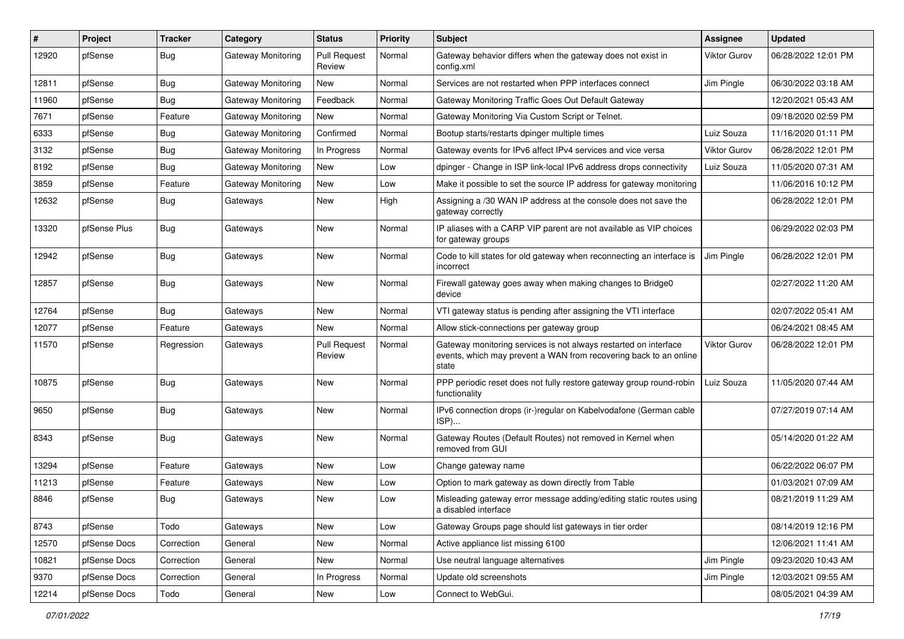| #     | Project      | <b>Tracker</b> | Category                  | <b>Status</b>                 | <b>Priority</b> | Subject                                                                                                                                        | <b>Assignee</b>     | <b>Updated</b>      |
|-------|--------------|----------------|---------------------------|-------------------------------|-----------------|------------------------------------------------------------------------------------------------------------------------------------------------|---------------------|---------------------|
| 12920 | pfSense      | <b>Bug</b>     | <b>Gateway Monitoring</b> | <b>Pull Request</b><br>Review | Normal          | Gateway behavior differs when the gateway does not exist in<br>config.xml                                                                      | <b>Viktor Gurov</b> | 06/28/2022 12:01 PM |
| 12811 | pfSense      | <b>Bug</b>     | Gateway Monitoring        | New                           | Normal          | Services are not restarted when PPP interfaces connect                                                                                         | Jim Pingle          | 06/30/2022 03:18 AM |
| 11960 | pfSense      | <b>Bug</b>     | Gateway Monitoring        | Feedback                      | Normal          | Gateway Monitoring Traffic Goes Out Default Gateway                                                                                            |                     | 12/20/2021 05:43 AM |
| 7671  | pfSense      | Feature        | Gateway Monitoring        | New                           | Normal          | Gateway Monitoring Via Custom Script or Telnet.                                                                                                |                     | 09/18/2020 02:59 PM |
| 6333  | pfSense      | <b>Bug</b>     | Gateway Monitoring        | Confirmed                     | Normal          | Bootup starts/restarts dpinger multiple times                                                                                                  | Luiz Souza          | 11/16/2020 01:11 PM |
| 3132  | pfSense      | <b>Bug</b>     | Gateway Monitoring        | In Progress                   | Normal          | Gateway events for IPv6 affect IPv4 services and vice versa                                                                                    | <b>Viktor Gurov</b> | 06/28/2022 12:01 PM |
| 8192  | pfSense      | <b>Bug</b>     | Gateway Monitoring        | New                           | Low             | dpinger - Change in ISP link-local IPv6 address drops connectivity                                                                             | Luiz Souza          | 11/05/2020 07:31 AM |
| 3859  | pfSense      | Feature        | <b>Gateway Monitoring</b> | New                           | Low             | Make it possible to set the source IP address for gateway monitoring                                                                           |                     | 11/06/2016 10:12 PM |
| 12632 | pfSense      | <b>Bug</b>     | Gateways                  | New                           | High            | Assigning a /30 WAN IP address at the console does not save the<br>gateway correctly                                                           |                     | 06/28/2022 12:01 PM |
| 13320 | pfSense Plus | <b>Bug</b>     | Gateways                  | <b>New</b>                    | Normal          | IP aliases with a CARP VIP parent are not available as VIP choices<br>for gateway groups                                                       |                     | 06/29/2022 02:03 PM |
| 12942 | pfSense      | <b>Bug</b>     | Gateways                  | New                           | Normal          | Code to kill states for old gateway when reconnecting an interface is<br>incorrect                                                             | Jim Pingle          | 06/28/2022 12:01 PM |
| 12857 | pfSense      | <b>Bug</b>     | Gateways                  | New                           | Normal          | Firewall gateway goes away when making changes to Bridge0<br>device                                                                            |                     | 02/27/2022 11:20 AM |
| 12764 | pfSense      | <b>Bug</b>     | Gateways                  | <b>New</b>                    | Normal          | VTI gateway status is pending after assigning the VTI interface                                                                                |                     | 02/07/2022 05:41 AM |
| 12077 | pfSense      | Feature        | Gateways                  | <b>New</b>                    | Normal          | Allow stick-connections per gateway group                                                                                                      |                     | 06/24/2021 08:45 AM |
| 11570 | pfSense      | Regression     | Gateways                  | <b>Pull Request</b><br>Review | Normal          | Gateway monitoring services is not always restarted on interface<br>events, which may prevent a WAN from recovering back to an online<br>state | Viktor Gurov        | 06/28/2022 12:01 PM |
| 10875 | pfSense      | <b>Bug</b>     | Gateways                  | <b>New</b>                    | Normal          | PPP periodic reset does not fully restore gateway group round-robin<br>functionality                                                           | Luiz Souza          | 11/05/2020 07:44 AM |
| 9650  | pfSense      | <b>Bug</b>     | Gateways                  | New                           | Normal          | IPv6 connection drops (ir-)regular on Kabelvodafone (German cable<br>ISP)                                                                      |                     | 07/27/2019 07:14 AM |
| 8343  | pfSense      | <b>Bug</b>     | Gateways                  | <b>New</b>                    | Normal          | Gateway Routes (Default Routes) not removed in Kernel when<br>removed from GUI                                                                 |                     | 05/14/2020 01:22 AM |
| 13294 | pfSense      | Feature        | Gateways                  | <b>New</b>                    | Low             | Change gateway name                                                                                                                            |                     | 06/22/2022 06:07 PM |
| 11213 | pfSense      | Feature        | Gateways                  | New                           | Low             | Option to mark gateway as down directly from Table                                                                                             |                     | 01/03/2021 07:09 AM |
| 8846  | pfSense      | <b>Bug</b>     | Gateways                  | New                           | Low             | Misleading gateway error message adding/editing static routes using<br>a disabled interface                                                    |                     | 08/21/2019 11:29 AM |
| 8743  | pfSense      | Todo           | Gateways                  | New                           | Low             | Gateway Groups page should list gateways in tier order                                                                                         |                     | 08/14/2019 12:16 PM |
| 12570 | pfSense Docs | Correction     | General                   | New                           | Normal          | Active appliance list missing 6100                                                                                                             |                     | 12/06/2021 11:41 AM |
| 10821 | pfSense Docs | Correction     | General                   | New                           | Normal          | Use neutral language alternatives                                                                                                              | Jim Pingle          | 09/23/2020 10:43 AM |
| 9370  | pfSense Docs | Correction     | General                   | In Progress                   | Normal          | Update old screenshots                                                                                                                         | Jim Pingle          | 12/03/2021 09:55 AM |
| 12214 | pfSense Docs | Todo           | General                   | New                           | Low             | Connect to WebGui.                                                                                                                             |                     | 08/05/2021 04:39 AM |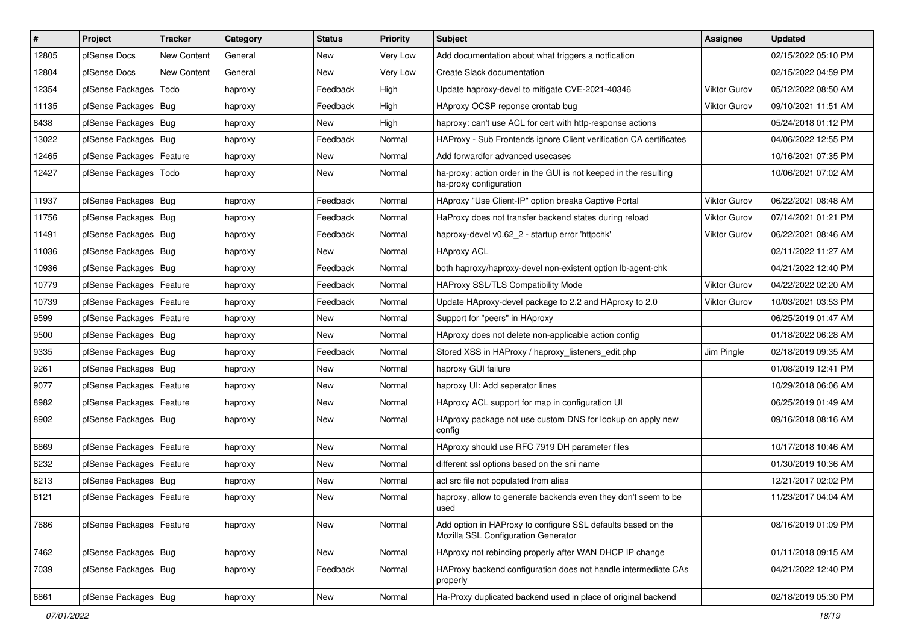| $\sharp$ | Project                    | <b>Tracker</b>     | Category | <b>Status</b> | <b>Priority</b> | Subject                                                                                             | Assignee            | <b>Updated</b>      |
|----------|----------------------------|--------------------|----------|---------------|-----------------|-----------------------------------------------------------------------------------------------------|---------------------|---------------------|
| 12805    | pfSense Docs               | <b>New Content</b> | General  | New           | <b>Very Low</b> | Add documentation about what triggers a notfication                                                 |                     | 02/15/2022 05:10 PM |
| 12804    | pfSense Docs               | <b>New Content</b> | General  | New           | Very Low        | Create Slack documentation                                                                          |                     | 02/15/2022 04:59 PM |
| 12354    | pfSense Packages           | Todo               | haproxy  | Feedback      | High            | Update haproxy-devel to mitigate CVE-2021-40346                                                     | Viktor Gurov        | 05/12/2022 08:50 AM |
| 11135    | pfSense Packages   Bug     |                    | haproxy  | Feedback      | High            | HAproxy OCSP reponse crontab bug                                                                    | <b>Viktor Gurov</b> | 09/10/2021 11:51 AM |
| 8438     | pfSense Packages   Bug     |                    | haproxy  | New           | High            | haproxy: can't use ACL for cert with http-response actions                                          |                     | 05/24/2018 01:12 PM |
| 13022    | pfSense Packages   Bug     |                    | haproxy  | Feedback      | Normal          | HAProxy - Sub Frontends ignore Client verification CA certificates                                  |                     | 04/06/2022 12:55 PM |
| 12465    | pfSense Packages   Feature |                    | haproxy  | New           | Normal          | Add forwardfor advanced usecases                                                                    |                     | 10/16/2021 07:35 PM |
| 12427    | pfSense Packages           | Todo               | haproxy  | New           | Normal          | ha-proxy: action order in the GUI is not keeped in the resulting<br>ha-proxy configuration          |                     | 10/06/2021 07:02 AM |
| 11937    | pfSense Packages   Bug     |                    | haproxy  | Feedback      | Normal          | HAproxy "Use Client-IP" option breaks Captive Portal                                                | <b>Viktor Gurov</b> | 06/22/2021 08:48 AM |
| 11756    | pfSense Packages   Bug     |                    | haproxy  | Feedback      | Normal          | HaProxy does not transfer backend states during reload                                              | Viktor Gurov        | 07/14/2021 01:21 PM |
| 11491    | pfSense Packages   Bug     |                    | haproxy  | Feedback      | Normal          | haproxy-devel v0.62 2 - startup error 'httpchk'                                                     | <b>Viktor Gurov</b> | 06/22/2021 08:46 AM |
| 11036    | pfSense Packages   Bug     |                    | haproxy  | <b>New</b>    | Normal          | <b>HAproxy ACL</b>                                                                                  |                     | 02/11/2022 11:27 AM |
| 10936    | pfSense Packages   Bug     |                    | haproxy  | Feedback      | Normal          | both haproxy/haproxy-devel non-existent option lb-agent-chk                                         |                     | 04/21/2022 12:40 PM |
| 10779    | pfSense Packages   Feature |                    | haproxy  | Feedback      | Normal          | <b>HAProxy SSL/TLS Compatibility Mode</b>                                                           | Viktor Gurov        | 04/22/2022 02:20 AM |
| 10739    | pfSense Packages   Feature |                    | haproxy  | Feedback      | Normal          | Update HAproxy-devel package to 2.2 and HAproxy to 2.0                                              | <b>Viktor Gurov</b> | 10/03/2021 03:53 PM |
| 9599     | pfSense Packages   Feature |                    | haproxy  | New           | Normal          | Support for "peers" in HAproxy                                                                      |                     | 06/25/2019 01:47 AM |
| 9500     | pfSense Packages   Bug     |                    | haproxy  | <b>New</b>    | Normal          | HAproxy does not delete non-applicable action config                                                |                     | 01/18/2022 06:28 AM |
| 9335     | pfSense Packages   Bug     |                    | haproxy  | Feedback      | Normal          | Stored XSS in HAProxy / haproxy listeners edit.php                                                  | Jim Pingle          | 02/18/2019 09:35 AM |
| 9261     | pfSense Packages   Bug     |                    | haproxy  | New           | Normal          | haproxy GUI failure                                                                                 |                     | 01/08/2019 12:41 PM |
| 9077     | pfSense Packages   Feature |                    | haproxy  | <b>New</b>    | Normal          | haproxy UI: Add seperator lines                                                                     |                     | 10/29/2018 06:06 AM |
| 8982     | pfSense Packages           | Feature            | haproxy  | New           | Normal          | HAproxy ACL support for map in configuration UI                                                     |                     | 06/25/2019 01:49 AM |
| 8902     | pfSense Packages   Bug     |                    | haproxy  | New           | Normal          | HAproxy package not use custom DNS for lookup on apply new<br>config                                |                     | 09/16/2018 08:16 AM |
| 8869     | pfSense Packages   Feature |                    | haproxy  | <b>New</b>    | Normal          | HAproxy should use RFC 7919 DH parameter files                                                      |                     | 10/17/2018 10:46 AM |
| 8232     | pfSense Packages   Feature |                    | haproxy  | New           | Normal          | different ssl options based on the sni name                                                         |                     | 01/30/2019 10:36 AM |
| 8213     | pfSense Packages   Bug     |                    | haproxy  | New           | Normal          | acl src file not populated from alias                                                               |                     | 12/21/2017 02:02 PM |
| 8121     | pfSense Packages   Feature |                    | haproxy  | New           | Normal          | haproxy, allow to generate backends even they don't seem to be<br>used                              |                     | 11/23/2017 04:04 AM |
| 7686     | pfSense Packages   Feature |                    | haproxy  | New           | Normal          | Add option in HAProxy to configure SSL defaults based on the<br>Mozilla SSL Configuration Generator |                     | 08/16/2019 01:09 PM |
| 7462     | pfSense Packages   Bug     |                    | haproxy  | New           | Normal          | HAproxy not rebinding properly after WAN DHCP IP change                                             |                     | 01/11/2018 09:15 AM |
| 7039     | pfSense Packages   Bug     |                    | haproxy  | Feedback      | Normal          | HAProxy backend configuration does not handle intermediate CAs<br>properly                          |                     | 04/21/2022 12:40 PM |
| 6861     | pfSense Packages   Bug     |                    | haproxy  | New           | Normal          | Ha-Proxy duplicated backend used in place of original backend                                       |                     | 02/18/2019 05:30 PM |